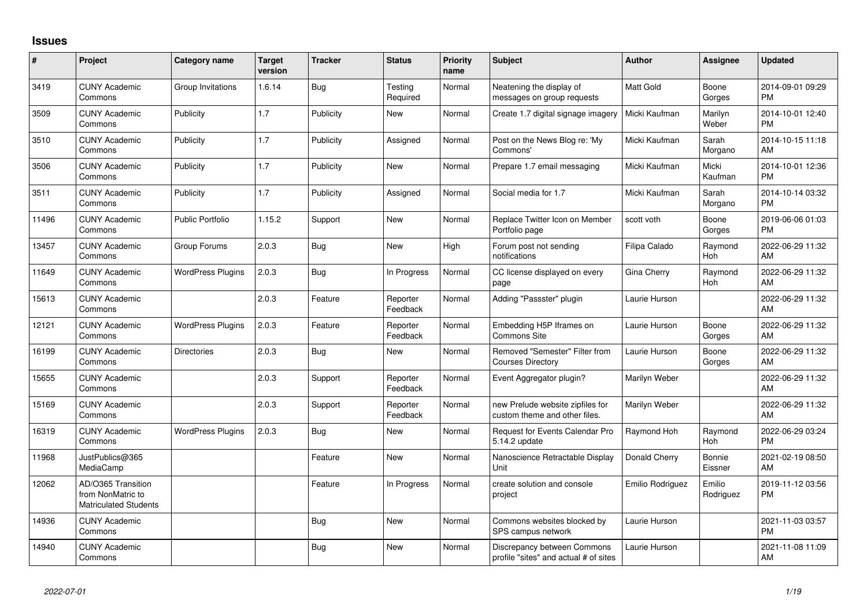## **Issues**

| $\pmb{\#}$ | Project                                                                 | <b>Category name</b>     | <b>Target</b><br>version | <b>Tracker</b> | <b>Status</b>        | <b>Priority</b><br>name | <b>Subject</b>                                                       | <b>Author</b>    | Assignee            | <b>Updated</b>                |
|------------|-------------------------------------------------------------------------|--------------------------|--------------------------|----------------|----------------------|-------------------------|----------------------------------------------------------------------|------------------|---------------------|-------------------------------|
| 3419       | <b>CUNY Academic</b><br>Commons                                         | Group Invitations        | 1.6.14                   | Bug            | Testing<br>Required  | Normal                  | Neatening the display of<br>messages on group requests               | Matt Gold        | Boone<br>Gorges     | 2014-09-01 09:29<br><b>PM</b> |
| 3509       | <b>CUNY Academic</b><br>Commons                                         | Publicity                | 1.7                      | Publicity      | New                  | Normal                  | Create 1.7 digital signage imagery                                   | Micki Kaufman    | Marilyn<br>Weber    | 2014-10-01 12:40<br><b>PM</b> |
| 3510       | <b>CUNY Academic</b><br>Commons                                         | Publicity                | 1.7                      | Publicity      | Assigned             | Normal                  | Post on the News Blog re: 'My<br>Commons'                            | Micki Kaufman    | Sarah<br>Morgano    | 2014-10-15 11:18<br>AM        |
| 3506       | <b>CUNY Academic</b><br>Commons                                         | Publicity                | 1.7                      | Publicity      | <b>New</b>           | Normal                  | Prepare 1.7 email messaging                                          | Micki Kaufman    | Micki<br>Kaufman    | 2014-10-01 12:36<br><b>PM</b> |
| 3511       | <b>CUNY Academic</b><br>Commons                                         | Publicity                | 1.7                      | Publicity      | Assigned             | Normal                  | Social media for 1.7                                                 | Micki Kaufman    | Sarah<br>Morgano    | 2014-10-14 03:32<br><b>PM</b> |
| 11496      | <b>CUNY Academic</b><br>Commons                                         | <b>Public Portfolio</b>  | 1.15.2                   | Support        | New                  | Normal                  | Replace Twitter Icon on Member<br>Portfolio page                     | scott voth       | Boone<br>Gorges     | 2019-06-06 01:03<br><b>PM</b> |
| 13457      | <b>CUNY Academic</b><br>Commons                                         | Group Forums             | 2.0.3                    | Bug            | <b>New</b>           | High                    | Forum post not sending<br>notifications                              | Filipa Calado    | Raymond<br>Hoh      | 2022-06-29 11:32<br>AM        |
| 11649      | <b>CUNY Academic</b><br>Commons                                         | <b>WordPress Plugins</b> | 2.0.3                    | <b>Bug</b>     | In Progress          | Normal                  | CC license displayed on every<br>page                                | Gina Cherry      | Raymond<br>Hoh      | 2022-06-29 11:32<br>AM        |
| 15613      | <b>CUNY Academic</b><br>Commons                                         |                          | 2.0.3                    | Feature        | Reporter<br>Feedback | Normal                  | Adding "Passster" plugin                                             | Laurie Hurson    |                     | 2022-06-29 11:32<br>AM        |
| 12121      | <b>CUNY Academic</b><br>Commons                                         | <b>WordPress Plugins</b> | 2.0.3                    | Feature        | Reporter<br>Feedback | Normal                  | Embedding H5P Iframes on<br>Commons Site                             | Laurie Hurson    | Boone<br>Gorges     | 2022-06-29 11:32<br>AM        |
| 16199      | <b>CUNY Academic</b><br>Commons                                         | <b>Directories</b>       | 2.0.3                    | Bug            | New                  | Normal                  | Removed "Semester" Filter from<br><b>Courses Directory</b>           | Laurie Hurson    | Boone<br>Gorges     | 2022-06-29 11:32<br>AM        |
| 15655      | <b>CUNY Academic</b><br>Commons                                         |                          | 2.0.3                    | Support        | Reporter<br>Feedback | Normal                  | Event Aggregator plugin?                                             | Marilyn Weber    |                     | 2022-06-29 11:32<br>AM        |
| 15169      | <b>CUNY Academic</b><br>Commons                                         |                          | 2.0.3                    | Support        | Reporter<br>Feedback | Normal                  | new Prelude website zipfiles for<br>custom theme and other files.    | Marilyn Weber    |                     | 2022-06-29 11:32<br>AM        |
| 16319      | <b>CUNY Academic</b><br>Commons                                         | <b>WordPress Plugins</b> | 2.0.3                    | Bug            | New                  | Normal                  | Request for Events Calendar Pro<br>5.14.2 update                     | Raymond Hoh      | Raymond<br>Hoh      | 2022-06-29 03:24<br><b>PM</b> |
| 11968      | JustPublics@365<br>MediaCamp                                            |                          |                          | Feature        | <b>New</b>           | Normal                  | Nanoscience Retractable Display<br>Unit                              | Donald Cherry    | Bonnie<br>Eissner   | 2021-02-19 08:50<br>AM        |
| 12062      | AD/O365 Transition<br>from NonMatric to<br><b>Matriculated Students</b> |                          |                          | Feature        | In Progress          | Normal                  | create solution and console<br>project                               | Emilio Rodriguez | Emilio<br>Rodriguez | 2019-11-12 03:56<br><b>PM</b> |
| 14936      | <b>CUNY Academic</b><br>Commons                                         |                          |                          | Bug            | <b>New</b>           | Normal                  | Commons websites blocked by<br>SPS campus network                    | Laurie Hurson    |                     | 2021-11-03 03:57<br><b>PM</b> |
| 14940      | <b>CUNY Academic</b><br>Commons                                         |                          |                          | <b>Bug</b>     | <b>New</b>           | Normal                  | Discrepancy between Commons<br>profile "sites" and actual # of sites | Laurie Hurson    |                     | 2021-11-08 11:09<br>AM        |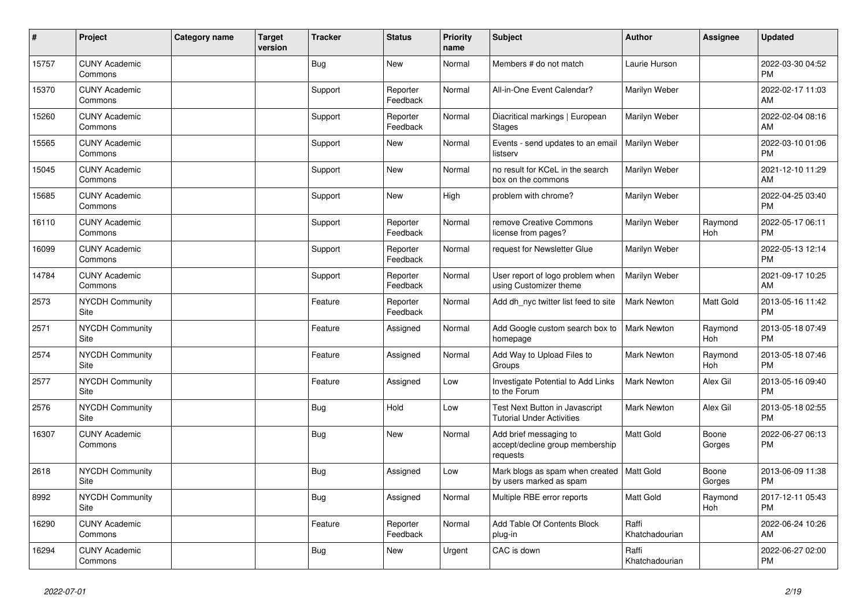| #     | Project                         | <b>Category name</b> | <b>Target</b><br>version | <b>Tracker</b> | <b>Status</b>        | <b>Priority</b><br>name | <b>Subject</b>                                                        | <b>Author</b>           | <b>Assignee</b> | <b>Updated</b>                |
|-------|---------------------------------|----------------------|--------------------------|----------------|----------------------|-------------------------|-----------------------------------------------------------------------|-------------------------|-----------------|-------------------------------|
| 15757 | <b>CUNY Academic</b><br>Commons |                      |                          | <b>Bug</b>     | New                  | Normal                  | Members # do not match                                                | Laurie Hurson           |                 | 2022-03-30 04:52<br><b>PM</b> |
| 15370 | <b>CUNY Academic</b><br>Commons |                      |                          | Support        | Reporter<br>Feedback | Normal                  | All-in-One Event Calendar?                                            | Marilyn Weber           |                 | 2022-02-17 11:03<br>AM.       |
| 15260 | <b>CUNY Academic</b><br>Commons |                      |                          | Support        | Reporter<br>Feedback | Normal                  | Diacritical markings   European<br><b>Stages</b>                      | Marilyn Weber           |                 | 2022-02-04 08:16<br>AM        |
| 15565 | <b>CUNY Academic</b><br>Commons |                      |                          | Support        | New                  | Normal                  | Events - send updates to an email<br>listserv                         | Marilyn Weber           |                 | 2022-03-10 01:06<br><b>PM</b> |
| 15045 | <b>CUNY Academic</b><br>Commons |                      |                          | Support        | <b>New</b>           | Normal                  | no result for KCeL in the search<br>box on the commons                | Marilyn Weber           |                 | 2021-12-10 11:29<br><b>AM</b> |
| 15685 | <b>CUNY Academic</b><br>Commons |                      |                          | Support        | <b>New</b>           | High                    | problem with chrome?                                                  | Marilyn Weber           |                 | 2022-04-25 03:40<br><b>PM</b> |
| 16110 | <b>CUNY Academic</b><br>Commons |                      |                          | Support        | Reporter<br>Feedback | Normal                  | remove Creative Commons<br>license from pages?                        | Marilyn Weber           | Raymond<br>Hoh  | 2022-05-17 06:11<br><b>PM</b> |
| 16099 | <b>CUNY Academic</b><br>Commons |                      |                          | Support        | Reporter<br>Feedback | Normal                  | request for Newsletter Glue                                           | Marilyn Weber           |                 | 2022-05-13 12:14<br><b>PM</b> |
| 14784 | <b>CUNY Academic</b><br>Commons |                      |                          | Support        | Reporter<br>Feedback | Normal                  | User report of logo problem when<br>using Customizer theme            | Marilyn Weber           |                 | 2021-09-17 10:25<br>AM        |
| 2573  | <b>NYCDH Community</b><br>Site  |                      |                          | Feature        | Reporter<br>Feedback | Normal                  | Add dh_nyc twitter list feed to site                                  | <b>Mark Newton</b>      | Matt Gold       | 2013-05-16 11:42<br><b>PM</b> |
| 2571  | <b>NYCDH Community</b><br>Site  |                      |                          | Feature        | Assigned             | Normal                  | Add Google custom search box to<br>homepage                           | Mark Newton             | Raymond<br>Hoh  | 2013-05-18 07:49<br><b>PM</b> |
| 2574  | NYCDH Community<br>Site         |                      |                          | Feature        | Assigned             | Normal                  | Add Way to Upload Files to<br>Groups                                  | <b>Mark Newton</b>      | Raymond<br>Hoh  | 2013-05-18 07:46<br><b>PM</b> |
| 2577  | <b>NYCDH Community</b><br>Site  |                      |                          | Feature        | Assigned             | Low                     | Investigate Potential to Add Links<br>to the Forum                    | <b>Mark Newton</b>      | Alex Gil        | 2013-05-16 09:40<br><b>PM</b> |
| 2576  | <b>NYCDH Community</b><br>Site  |                      |                          | Bug            | Hold                 | Low                     | Test Next Button in Javascript<br><b>Tutorial Under Activities</b>    | <b>Mark Newton</b>      | Alex Gil        | 2013-05-18 02:55<br><b>PM</b> |
| 16307 | <b>CUNY Academic</b><br>Commons |                      |                          | Bug            | <b>New</b>           | Normal                  | Add brief messaging to<br>accept/decline group membership<br>requests | Matt Gold               | Boone<br>Gorges | 2022-06-27 06:13<br><b>PM</b> |
| 2618  | <b>NYCDH Community</b><br>Site  |                      |                          | <b>Bug</b>     | Assigned             | Low                     | Mark blogs as spam when created<br>by users marked as spam            | Matt Gold               | Boone<br>Gorges | 2013-06-09 11:38<br><b>PM</b> |
| 8992  | <b>NYCDH Community</b><br>Site  |                      |                          | Bug            | Assigned             | Normal                  | Multiple RBE error reports                                            | Matt Gold               | Raymond<br>Hoh  | 2017-12-11 05:43<br><b>PM</b> |
| 16290 | <b>CUNY Academic</b><br>Commons |                      |                          | Feature        | Reporter<br>Feedback | Normal                  | Add Table Of Contents Block<br>plug-in                                | Raffi<br>Khatchadourian |                 | 2022-06-24 10:26<br>AM        |
| 16294 | <b>CUNY Academic</b><br>Commons |                      |                          | Bug            | <b>New</b>           | Urgent                  | CAC is down                                                           | Raffi<br>Khatchadourian |                 | 2022-06-27 02:00<br>PM        |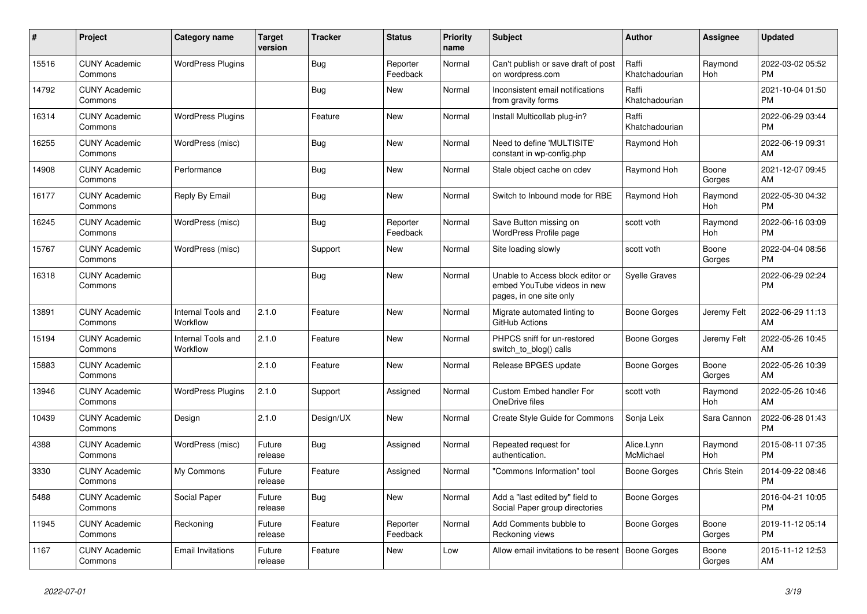| $\#$  | Project                         | <b>Category name</b>           | <b>Target</b><br>version | <b>Tracker</b> | <b>Status</b>        | <b>Priority</b><br>name | <b>Subject</b>                                                                             | <b>Author</b>           | <b>Assignee</b> | <b>Updated</b>                |
|-------|---------------------------------|--------------------------------|--------------------------|----------------|----------------------|-------------------------|--------------------------------------------------------------------------------------------|-------------------------|-----------------|-------------------------------|
| 15516 | <b>CUNY Academic</b><br>Commons | <b>WordPress Plugins</b>       |                          | Bug            | Reporter<br>Feedback | Normal                  | Can't publish or save draft of post<br>on wordpress.com                                    | Raffi<br>Khatchadourian | Raymond<br>Hoh  | 2022-03-02 05:52<br><b>PM</b> |
| 14792 | <b>CUNY Academic</b><br>Commons |                                |                          | Bug            | <b>New</b>           | Normal                  | Inconsistent email notifications<br>from gravity forms                                     | Raffi<br>Khatchadourian |                 | 2021-10-04 01:50<br><b>PM</b> |
| 16314 | <b>CUNY Academic</b><br>Commons | <b>WordPress Plugins</b>       |                          | Feature        | <b>New</b>           | Normal                  | Install Multicollab plug-in?                                                               | Raffi<br>Khatchadourian |                 | 2022-06-29 03:44<br><b>PM</b> |
| 16255 | <b>CUNY Academic</b><br>Commons | WordPress (misc)               |                          | <b>Bug</b>     | <b>New</b>           | Normal                  | Need to define 'MULTISITE'<br>constant in wp-config.php                                    | Raymond Hoh             |                 | 2022-06-19 09:31<br>AM        |
| 14908 | <b>CUNY Academic</b><br>Commons | Performance                    |                          | Bug            | <b>New</b>           | Normal                  | Stale object cache on cdev                                                                 | Raymond Hoh             | Boone<br>Gorges | 2021-12-07 09:45<br>AM        |
| 16177 | <b>CUNY Academic</b><br>Commons | Reply By Email                 |                          | <b>Bug</b>     | New                  | Normal                  | Switch to Inbound mode for RBE                                                             | Raymond Hoh             | Raymond<br>Hoh  | 2022-05-30 04:32<br><b>PM</b> |
| 16245 | <b>CUNY Academic</b><br>Commons | WordPress (misc)               |                          | <b>Bug</b>     | Reporter<br>Feedback | Normal                  | Save Button missing on<br>WordPress Profile page                                           | scott voth              | Raymond<br>Hoh  | 2022-06-16 03:09<br><b>PM</b> |
| 15767 | <b>CUNY Academic</b><br>Commons | WordPress (misc)               |                          | Support        | <b>New</b>           | Normal                  | Site loading slowly                                                                        | scott voth              | Boone<br>Gorges | 2022-04-04 08:56<br><b>PM</b> |
| 16318 | <b>CUNY Academic</b><br>Commons |                                |                          | Bug            | New                  | Normal                  | Unable to Access block editor or<br>embed YouTube videos in new<br>pages, in one site only | <b>Syelle Graves</b>    |                 | 2022-06-29 02:24<br><b>PM</b> |
| 13891 | <b>CUNY Academic</b><br>Commons | Internal Tools and<br>Workflow | 2.1.0                    | Feature        | <b>New</b>           | Normal                  | Migrate automated linting to<br>GitHub Actions                                             | <b>Boone Gorges</b>     | Jeremy Felt     | 2022-06-29 11:13<br>AM        |
| 15194 | <b>CUNY Academic</b><br>Commons | Internal Tools and<br>Workflow | 2.1.0                    | Feature        | <b>New</b>           | Normal                  | PHPCS sniff for un-restored<br>switch_to_blog() calls                                      | Boone Gorges            | Jeremy Felt     | 2022-05-26 10:45<br>AM        |
| 15883 | <b>CUNY Academic</b><br>Commons |                                | 2.1.0                    | Feature        | <b>New</b>           | Normal                  | Release BPGES update                                                                       | Boone Gorges            | Boone<br>Gorges | 2022-05-26 10:39<br>AM        |
| 13946 | <b>CUNY Academic</b><br>Commons | <b>WordPress Plugins</b>       | 2.1.0                    | Support        | Assigned             | Normal                  | <b>Custom Embed handler For</b><br>OneDrive files                                          | scott voth              | Raymond<br>Hoh  | 2022-05-26 10:46<br>AM        |
| 10439 | <b>CUNY Academic</b><br>Commons | Design                         | 2.1.0                    | Design/UX      | New                  | Normal                  | Create Style Guide for Commons                                                             | Sonja Leix              | Sara Cannon     | 2022-06-28 01:43<br><b>PM</b> |
| 4388  | <b>CUNY Academic</b><br>Commons | WordPress (misc)               | Future<br>release        | Bug            | Assigned             | Normal                  | Repeated request for<br>authentication.                                                    | Alice.Lynn<br>McMichael | Raymond<br>Hoh  | 2015-08-11 07:35<br><b>PM</b> |
| 3330  | <b>CUNY Academic</b><br>Commons | My Commons                     | Future<br>release        | Feature        | Assigned             | Normal                  | "Commons Information" tool                                                                 | Boone Gorges            | Chris Stein     | 2014-09-22 08:46<br><b>PM</b> |
| 5488  | <b>CUNY Academic</b><br>Commons | Social Paper                   | Future<br>release        | Bug            | <b>New</b>           | Normal                  | Add a "last edited by" field to<br>Social Paper group directories                          | Boone Gorges            |                 | 2016-04-21 10:05<br><b>PM</b> |
| 11945 | <b>CUNY Academic</b><br>Commons | Reckoning                      | Future<br>release        | Feature        | Reporter<br>Feedback | Normal                  | Add Comments bubble to<br>Reckoning views                                                  | Boone Gorges            | Boone<br>Gorges | 2019-11-12 05:14<br><b>PM</b> |
| 1167  | <b>CUNY Academic</b><br>Commons | <b>Email Invitations</b>       | Future<br>release        | Feature        | <b>New</b>           | Low                     | Allow email invitations to be resent   Boone Gorges                                        |                         | Boone<br>Gorges | 2015-11-12 12:53<br>AM        |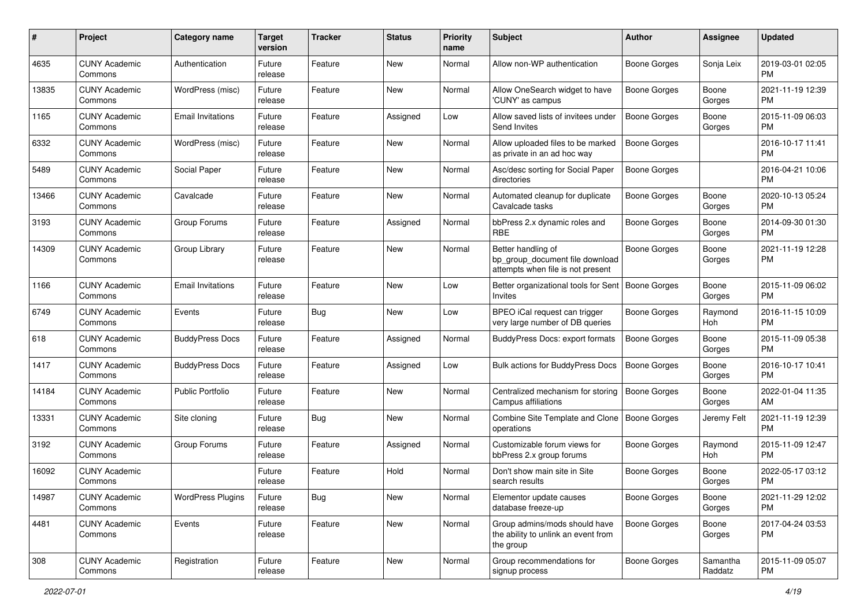| #     | Project                         | <b>Category name</b>     | <b>Target</b><br>version | <b>Tracker</b> | <b>Status</b> | Priority<br>name | <b>Subject</b>                                                                             | <b>Author</b>       | <b>Assignee</b>     | <b>Updated</b>                |
|-------|---------------------------------|--------------------------|--------------------------|----------------|---------------|------------------|--------------------------------------------------------------------------------------------|---------------------|---------------------|-------------------------------|
| 4635  | <b>CUNY Academic</b><br>Commons | Authentication           | Future<br>release        | Feature        | New           | Normal           | Allow non-WP authentication                                                                | <b>Boone Gorges</b> | Sonja Leix          | 2019-03-01 02:05<br>PM.       |
| 13835 | <b>CUNY Academic</b><br>Commons | WordPress (misc)         | Future<br>release        | Feature        | New           | Normal           | Allow OneSearch widget to have<br>'CUNY' as campus                                         | Boone Gorges        | Boone<br>Gorges     | 2021-11-19 12:39<br><b>PM</b> |
| 1165  | <b>CUNY Academic</b><br>Commons | <b>Email Invitations</b> | Future<br>release        | Feature        | Assigned      | Low              | Allow saved lists of invitees under<br>Send Invites                                        | <b>Boone Gorges</b> | Boone<br>Gorges     | 2015-11-09 06:03<br><b>PM</b> |
| 6332  | <b>CUNY Academic</b><br>Commons | WordPress (misc)         | Future<br>release        | Feature        | New           | Normal           | Allow uploaded files to be marked<br>as private in an ad hoc way                           | Boone Gorges        |                     | 2016-10-17 11:41<br><b>PM</b> |
| 5489  | <b>CUNY Academic</b><br>Commons | Social Paper             | Future<br>release        | Feature        | New           | Normal           | Asc/desc sorting for Social Paper<br>directories                                           | Boone Gorges        |                     | 2016-04-21 10:06<br><b>PM</b> |
| 13466 | <b>CUNY Academic</b><br>Commons | Cavalcade                | Future<br>release        | Feature        | New           | Normal           | Automated cleanup for duplicate<br>Cavalcade tasks                                         | Boone Gorges        | Boone<br>Gorges     | 2020-10-13 05:24<br><b>PM</b> |
| 3193  | <b>CUNY Academic</b><br>Commons | Group Forums             | Future<br>release        | Feature        | Assigned      | Normal           | bbPress 2.x dynamic roles and<br><b>RBE</b>                                                | <b>Boone Gorges</b> | Boone<br>Gorges     | 2014-09-30 01:30<br><b>PM</b> |
| 14309 | <b>CUNY Academic</b><br>Commons | Group Library            | Future<br>release        | Feature        | New           | Normal           | Better handling of<br>bp_group_document file download<br>attempts when file is not present | <b>Boone Gorges</b> | Boone<br>Gorges     | 2021-11-19 12:28<br>PM        |
| 1166  | <b>CUNY Academic</b><br>Commons | <b>Email Invitations</b> | Future<br>release        | Feature        | New           | Low              | Better organizational tools for Sent<br>Invites                                            | Boone Gorges        | Boone<br>Gorges     | 2015-11-09 06:02<br>PM.       |
| 6749  | <b>CUNY Academic</b><br>Commons | Events                   | Future<br>release        | <b>Bug</b>     | New           | Low              | BPEO iCal request can trigger<br>very large number of DB queries                           | <b>Boone Gorges</b> | Raymond<br>Hoh      | 2016-11-15 10:09<br><b>PM</b> |
| 618   | <b>CUNY Academic</b><br>Commons | <b>BuddyPress Docs</b>   | Future<br>release        | Feature        | Assigned      | Normal           | BuddyPress Docs: export formats                                                            | Boone Gorges        | Boone<br>Gorges     | 2015-11-09 05:38<br><b>PM</b> |
| 1417  | <b>CUNY Academic</b><br>Commons | <b>BuddyPress Docs</b>   | Future<br>release        | Feature        | Assigned      | Low              | Bulk actions for BuddyPress Docs                                                           | Boone Gorges        | Boone<br>Gorges     | 2016-10-17 10:41<br>PM.       |
| 14184 | <b>CUNY Academic</b><br>Commons | <b>Public Portfolio</b>  | Future<br>release        | Feature        | <b>New</b>    | Normal           | Centralized mechanism for storing<br>Campus affiliations                                   | <b>Boone Gorges</b> | Boone<br>Gorges     | 2022-01-04 11:35<br>AM        |
| 13331 | <b>CUNY Academic</b><br>Commons | Site cloning             | Future<br>release        | Bug            | New           | Normal           | Combine Site Template and Clone   Boone Gorges<br>operations                               |                     | Jeremy Felt         | 2021-11-19 12:39<br><b>PM</b> |
| 3192  | <b>CUNY Academic</b><br>Commons | Group Forums             | Future<br>release        | Feature        | Assigned      | Normal           | Customizable forum views for<br>bbPress 2.x group forums                                   | Boone Gorges        | Raymond<br>Hoh      | 2015-11-09 12:47<br><b>PM</b> |
| 16092 | <b>CUNY Academic</b><br>Commons |                          | Future<br>release        | Feature        | Hold          | Normal           | Don't show main site in Site<br>search results                                             | <b>Boone Gorges</b> | Boone<br>Gorges     | 2022-05-17 03:12<br>PM        |
| 14987 | <b>CUNY Academic</b><br>Commons | <b>WordPress Plugins</b> | Future<br>release        | <b>Bug</b>     | New           | Normal           | Elementor update causes<br>database freeze-up                                              | Boone Gorges        | Boone<br>Gorges     | 2021-11-29 12:02<br><b>PM</b> |
| 4481  | <b>CUNY Academic</b><br>Commons | Events                   | Future<br>release        | Feature        | New           | Normal           | Group admins/mods should have<br>the ability to unlink an event from<br>the group          | Boone Gorges        | Boone<br>Gorges     | 2017-04-24 03:53<br><b>PM</b> |
| 308   | <b>CUNY Academic</b><br>Commons | Registration             | Future<br>release        | Feature        | New           | Normal           | Group recommendations for<br>signup process                                                | Boone Gorges        | Samantha<br>Raddatz | 2015-11-09 05:07<br><b>PM</b> |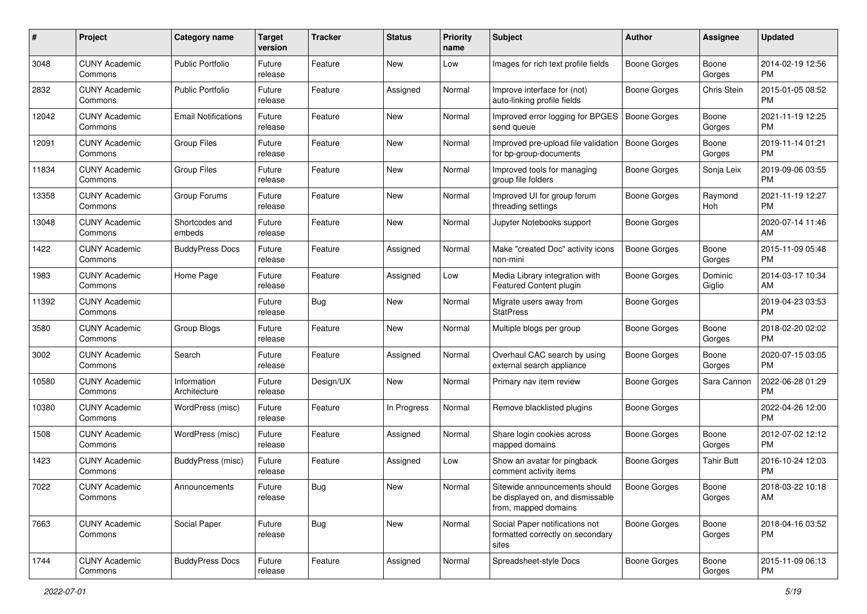| #     | Project                         | <b>Category name</b>        | <b>Target</b><br>version | <b>Tracker</b> | <b>Status</b> | Priority<br>name | <b>Subject</b>                                                                            | <b>Author</b>       | <b>Assignee</b>   | <b>Updated</b>                |
|-------|---------------------------------|-----------------------------|--------------------------|----------------|---------------|------------------|-------------------------------------------------------------------------------------------|---------------------|-------------------|-------------------------------|
| 3048  | <b>CUNY Academic</b><br>Commons | <b>Public Portfolio</b>     | Future<br>release        | Feature        | New           | Low              | Images for rich text profile fields                                                       | <b>Boone Gorges</b> | Boone<br>Gorges   | 2014-02-19 12:56<br>PM.       |
| 2832  | <b>CUNY Academic</b><br>Commons | <b>Public Portfolio</b>     | Future<br>release        | Feature        | Assigned      | Normal           | Improve interface for (not)<br>auto-linking profile fields                                | <b>Boone Gorges</b> | Chris Stein       | 2015-01-05 08:52<br><b>PM</b> |
| 12042 | <b>CUNY Academic</b><br>Commons | <b>Email Notifications</b>  | Future<br>release        | Feature        | New           | Normal           | Improved error logging for BPGES<br>send queue                                            | <b>Boone Gorges</b> | Boone<br>Gorges   | 2021-11-19 12:25<br><b>PM</b> |
| 12091 | <b>CUNY Academic</b><br>Commons | <b>Group Files</b>          | Future<br>release        | Feature        | New           | Normal           | Improved pre-upload file validation<br>for bp-group-documents                             | Boone Gorges        | Boone<br>Gorges   | 2019-11-14 01:21<br><b>PM</b> |
| 11834 | <b>CUNY Academic</b><br>Commons | <b>Group Files</b>          | Future<br>release        | Feature        | New           | Normal           | Improved tools for managing<br>group file folders                                         | Boone Gorges        | Sonja Leix        | 2019-09-06 03:55<br><b>PM</b> |
| 13358 | <b>CUNY Academic</b><br>Commons | Group Forums                | Future<br>release        | Feature        | New           | Normal           | Improved UI for group forum<br>threading settings                                         | Boone Gorges        | Raymond<br>Hoh    | 2021-11-19 12:27<br><b>PM</b> |
| 13048 | <b>CUNY Academic</b><br>Commons | Shortcodes and<br>embeds    | Future<br>release        | Feature        | New           | Normal           | Jupyter Notebooks support                                                                 | Boone Gorges        |                   | 2020-07-14 11:46<br>AM        |
| 1422  | <b>CUNY Academic</b><br>Commons | <b>BuddyPress Docs</b>      | Future<br>release        | Feature        | Assigned      | Normal           | Make "created Doc" activity icons<br>non-mini                                             | Boone Gorges        | Boone<br>Gorges   | 2015-11-09 05:48<br>PM.       |
| 1983  | <b>CUNY Academic</b><br>Commons | Home Page                   | Future<br>release        | Feature        | Assigned      | Low              | Media Library integration with<br>Featured Content plugin                                 | Boone Gorges        | Dominic<br>Giglio | 2014-03-17 10:34<br>AM        |
| 11392 | <b>CUNY Academic</b><br>Commons |                             | Future<br>release        | Bug            | <b>New</b>    | Normal           | Migrate users away from<br><b>StatPress</b>                                               | Boone Gorges        |                   | 2019-04-23 03:53<br><b>PM</b> |
| 3580  | <b>CUNY Academic</b><br>Commons | <b>Group Blogs</b>          | Future<br>release        | Feature        | <b>New</b>    | Normal           | Multiple blogs per group                                                                  | <b>Boone Gorges</b> | Boone<br>Gorges   | 2018-02-20 02:02<br><b>PM</b> |
| 3002  | <b>CUNY Academic</b><br>Commons | Search                      | Future<br>release        | Feature        | Assigned      | Normal           | Overhaul CAC search by using<br>external search appliance                                 | Boone Gorges        | Boone<br>Gorges   | 2020-07-15 03:05<br><b>PM</b> |
| 10580 | <b>CUNY Academic</b><br>Commons | Information<br>Architecture | Future<br>release        | Design/UX      | New           | Normal           | Primary nav item review                                                                   | Boone Gorges        | Sara Cannon       | 2022-06-28 01:29<br><b>PM</b> |
| 10380 | <b>CUNY Academic</b><br>Commons | WordPress (misc)            | Future<br>release        | Feature        | In Progress   | Normal           | Remove blacklisted plugins                                                                | Boone Gorges        |                   | 2022-04-26 12:00<br><b>PM</b> |
| 1508  | <b>CUNY Academic</b><br>Commons | WordPress (misc)            | Future<br>release        | Feature        | Assigned      | Normal           | Share login cookies across<br>mapped domains                                              | Boone Gorges        | Boone<br>Gorges   | 2012-07-02 12:12<br><b>PM</b> |
| 1423  | <b>CUNY Academic</b><br>Commons | <b>BuddyPress</b> (misc)    | Future<br>release        | Feature        | Assigned      | Low              | Show an avatar for pingback<br>comment activity items                                     | <b>Boone Gorges</b> | Tahir Butt        | 2016-10-24 12:03<br><b>PM</b> |
| 7022  | <b>CUNY Academic</b><br>Commons | Announcements               | Future<br>release        | <b>Bug</b>     | New           | Normal           | Sitewide announcements should<br>be displayed on, and dismissable<br>from, mapped domains | <b>Boone Gorges</b> | Boone<br>Gorges   | 2018-03-22 10:18<br>AM        |
| 7663  | <b>CUNY Academic</b><br>Commons | Social Paper                | Future<br>release        | <b>Bug</b>     | New           | Normal           | Social Paper notifications not<br>formatted correctly on secondary<br>sites               | Boone Gorges        | Boone<br>Gorges   | 2018-04-16 03:52<br><b>PM</b> |
| 1744  | <b>CUNY Academic</b><br>Commons | <b>BuddyPress Docs</b>      | Future<br>release        | Feature        | Assigned      | Normal           | Spreadsheet-style Docs                                                                    | Boone Gorges        | Boone<br>Gorges   | 2015-11-09 06:13<br><b>PM</b> |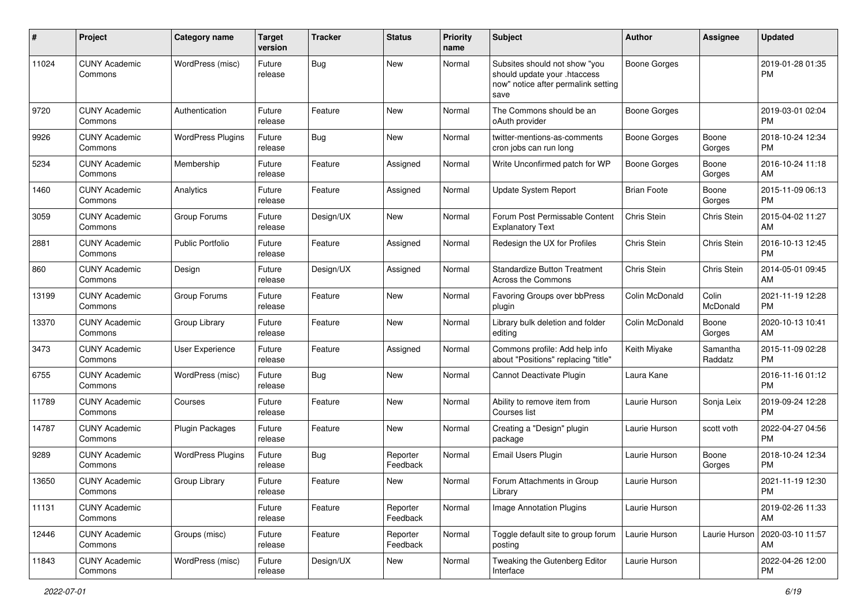| #     | Project                         | <b>Category name</b>     | <b>Target</b><br>version | <b>Tracker</b> | <b>Status</b>        | <b>Priority</b><br>name | <b>Subject</b>                                                                                               | <b>Author</b>       | <b>Assignee</b>     | <b>Updated</b>                |
|-------|---------------------------------|--------------------------|--------------------------|----------------|----------------------|-------------------------|--------------------------------------------------------------------------------------------------------------|---------------------|---------------------|-------------------------------|
| 11024 | <b>CUNY Academic</b><br>Commons | WordPress (misc)         | Future<br>release        | Bug            | <b>New</b>           | Normal                  | Subsites should not show "you<br>should update your .htaccess<br>now" notice after permalink setting<br>save | <b>Boone Gorges</b> |                     | 2019-01-28 01:35<br><b>PM</b> |
| 9720  | <b>CUNY Academic</b><br>Commons | Authentication           | Future<br>release        | Feature        | New                  | Normal                  | The Commons should be an<br>oAuth provider                                                                   | <b>Boone Gorges</b> |                     | 2019-03-01 02:04<br><b>PM</b> |
| 9926  | <b>CUNY Academic</b><br>Commons | <b>WordPress Plugins</b> | Future<br>release        | Bug            | <b>New</b>           | Normal                  | twitter-mentions-as-comments<br>cron jobs can run long                                                       | Boone Gorges        | Boone<br>Gorges     | 2018-10-24 12:34<br>PM.       |
| 5234  | <b>CUNY Academic</b><br>Commons | Membership               | Future<br>release        | Feature        | Assigned             | Normal                  | Write Unconfirmed patch for WP                                                                               | <b>Boone Gorges</b> | Boone<br>Gorges     | 2016-10-24 11:18<br>AM.       |
| 1460  | <b>CUNY Academic</b><br>Commons | Analytics                | Future<br>release        | Feature        | Assigned             | Normal                  | <b>Update System Report</b>                                                                                  | <b>Brian Foote</b>  | Boone<br>Gorges     | 2015-11-09 06:13<br>PM.       |
| 3059  | <b>CUNY Academic</b><br>Commons | Group Forums             | Future<br>release        | Design/UX      | New                  | Normal                  | Forum Post Permissable Content<br><b>Explanatory Text</b>                                                    | Chris Stein         | Chris Stein         | 2015-04-02 11:27<br>AM        |
| 2881  | <b>CUNY Academic</b><br>Commons | <b>Public Portfolio</b>  | Future<br>release        | Feature        | Assigned             | Normal                  | Redesign the UX for Profiles                                                                                 | Chris Stein         | Chris Stein         | 2016-10-13 12:45<br><b>PM</b> |
| 860   | <b>CUNY Academic</b><br>Commons | Design                   | Future<br>release        | Design/UX      | Assigned             | Normal                  | <b>Standardize Button Treatment</b><br>Across the Commons                                                    | Chris Stein         | Chris Stein         | 2014-05-01 09:45<br>AM        |
| 13199 | <b>CUNY Academic</b><br>Commons | Group Forums             | Future<br>release        | Feature        | New                  | Normal                  | Favoring Groups over bbPress<br>plugin                                                                       | Colin McDonald      | Colin<br>McDonald   | 2021-11-19 12:28<br><b>PM</b> |
| 13370 | <b>CUNY Academic</b><br>Commons | Group Library            | Future<br>release        | Feature        | New                  | Normal                  | Library bulk deletion and folder<br>editing                                                                  | Colin McDonald      | Boone<br>Gorges     | 2020-10-13 10:41<br>AM.       |
| 3473  | <b>CUNY Academic</b><br>Commons | User Experience          | Future<br>release        | Feature        | Assigned             | Normal                  | Commons profile: Add help info<br>about "Positions" replacing "title"                                        | Keith Miyake        | Samantha<br>Raddatz | 2015-11-09 02:28<br><b>PM</b> |
| 6755  | <b>CUNY Academic</b><br>Commons | WordPress (misc)         | Future<br>release        | Bug            | New                  | Normal                  | Cannot Deactivate Plugin                                                                                     | Laura Kane          |                     | 2016-11-16 01:12<br><b>PM</b> |
| 11789 | <b>CUNY Academic</b><br>Commons | Courses                  | Future<br>release        | Feature        | <b>New</b>           | Normal                  | Ability to remove item from<br>Courses list                                                                  | Laurie Hurson       | Sonja Leix          | 2019-09-24 12:28<br><b>PM</b> |
| 14787 | <b>CUNY Academic</b><br>Commons | Plugin Packages          | Future<br>release        | Feature        | <b>New</b>           | Normal                  | Creating a "Design" plugin<br>package                                                                        | Laurie Hurson       | scott voth          | 2022-04-27 04:56<br><b>PM</b> |
| 9289  | <b>CUNY Academic</b><br>Commons | <b>WordPress Plugins</b> | Future<br>release        | Bug            | Reporter<br>Feedback | Normal                  | Email Users Plugin                                                                                           | Laurie Hurson       | Boone<br>Gorges     | 2018-10-24 12:34<br><b>PM</b> |
| 13650 | <b>CUNY Academic</b><br>Commons | Group Library            | Future<br>release        | Feature        | New                  | Normal                  | Forum Attachments in Group<br>Library                                                                        | Laurie Hurson       |                     | 2021-11-19 12:30<br>PM        |
| 11131 | <b>CUNY Academic</b><br>Commons |                          | Future<br>release        | Feature        | Reporter<br>Feedback | Normal                  | Image Annotation Plugins                                                                                     | Laurie Hurson       |                     | 2019-02-26 11:33<br>AM        |
| 12446 | <b>CUNY Academic</b><br>Commons | Groups (misc)            | Future<br>release        | Feature        | Reporter<br>Feedback | Normal                  | Toggle default site to group forum<br>posting                                                                | Laurie Hurson       | Laurie Hurson       | 2020-03-10 11:57<br>AM        |
| 11843 | <b>CUNY Academic</b><br>Commons | WordPress (misc)         | Future<br>release        | Design/UX      | New                  | Normal                  | Tweaking the Gutenberg Editor<br>Interface                                                                   | Laurie Hurson       |                     | 2022-04-26 12:00<br><b>PM</b> |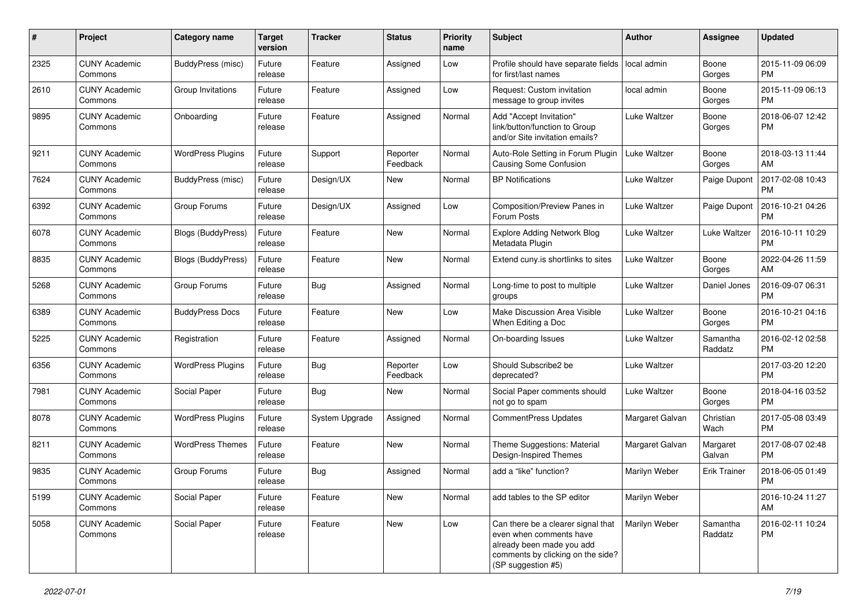| #    | Project                         | <b>Category name</b>      | <b>Target</b><br>version | <b>Tracker</b> | <b>Status</b>        | Priority<br>name | <b>Subject</b>                                                                                                                                        | Author          | <b>Assignee</b>     | <b>Updated</b>                |
|------|---------------------------------|---------------------------|--------------------------|----------------|----------------------|------------------|-------------------------------------------------------------------------------------------------------------------------------------------------------|-----------------|---------------------|-------------------------------|
| 2325 | <b>CUNY Academic</b><br>Commons | BuddyPress (misc)         | Future<br>release        | Feature        | Assigned             | Low              | Profile should have separate fields<br>for first/last names                                                                                           | local admin     | Boone<br>Gorges     | 2015-11-09 06:09<br><b>PM</b> |
| 2610 | <b>CUNY Academic</b><br>Commons | Group Invitations         | Future<br>release        | Feature        | Assigned             | Low              | Request: Custom invitation<br>message to group invites                                                                                                | local admin     | Boone<br>Gorges     | 2015-11-09 06:13<br><b>PM</b> |
| 9895 | <b>CUNY Academic</b><br>Commons | Onboarding                | Future<br>release        | Feature        | Assigned             | Normal           | Add "Accept Invitation"<br>link/button/function to Group<br>and/or Site invitation emails?                                                            | Luke Waltzer    | Boone<br>Gorges     | 2018-06-07 12:42<br><b>PM</b> |
| 9211 | <b>CUNY Academic</b><br>Commons | <b>WordPress Plugins</b>  | Future<br>release        | Support        | Reporter<br>Feedback | Normal           | Auto-Role Setting in Forum Plugin<br>Causing Some Confusion                                                                                           | Luke Waltzer    | Boone<br>Gorges     | 2018-03-13 11:44<br>AM        |
| 7624 | <b>CUNY Academic</b><br>Commons | <b>BuddyPress</b> (misc)  | Future<br>release        | Design/UX      | New                  | Normal           | <b>BP</b> Notifications                                                                                                                               | Luke Waltzer    | Paige Dupont        | 2017-02-08 10:43<br><b>PM</b> |
| 6392 | <b>CUNY Academic</b><br>Commons | Group Forums              | Future<br>release        | Design/UX      | Assigned             | Low              | Composition/Preview Panes in<br>Forum Posts                                                                                                           | Luke Waltzer    | Paige Dupont        | 2016-10-21 04:26<br><b>PM</b> |
| 6078 | <b>CUNY Academic</b><br>Commons | <b>Blogs (BuddyPress)</b> | Future<br>release        | Feature        | New                  | Normal           | <b>Explore Adding Network Blog</b><br>Metadata Plugin                                                                                                 | Luke Waltzer    | Luke Waltzer        | 2016-10-11 10:29<br><b>PM</b> |
| 8835 | <b>CUNY Academic</b><br>Commons | Blogs (BuddyPress)        | Future<br>release        | Feature        | New                  | Normal           | Extend cuny is shortlinks to sites                                                                                                                    | Luke Waltzer    | Boone<br>Gorges     | 2022-04-26 11:59<br>AM        |
| 5268 | <b>CUNY Academic</b><br>Commons | Group Forums              | Future<br>release        | Bug            | Assigned             | Normal           | Long-time to post to multiple<br>groups                                                                                                               | Luke Waltzer    | Daniel Jones        | 2016-09-07 06:31<br><b>PM</b> |
| 6389 | <b>CUNY Academic</b><br>Commons | <b>BuddyPress Docs</b>    | Future<br>release        | Feature        | New                  | Low              | Make Discussion Area Visible<br>When Editing a Doc                                                                                                    | Luke Waltzer    | Boone<br>Gorges     | 2016-10-21 04:16<br><b>PM</b> |
| 5225 | <b>CUNY Academic</b><br>Commons | Registration              | Future<br>release        | Feature        | Assigned             | Normal           | On-boarding Issues                                                                                                                                    | Luke Waltzer    | Samantha<br>Raddatz | 2016-02-12 02:58<br><b>PM</b> |
| 6356 | <b>CUNY Academic</b><br>Commons | <b>WordPress Plugins</b>  | Future<br>release        | Bug            | Reporter<br>Feedback | Low              | Should Subscribe2 be<br>deprecated?                                                                                                                   | Luke Waltzer    |                     | 2017-03-20 12:20<br><b>PM</b> |
| 7981 | <b>CUNY Academic</b><br>Commons | Social Paper              | Future<br>release        | Bug            | <b>New</b>           | Normal           | Social Paper comments should<br>not go to spam                                                                                                        | Luke Waltzer    | Boone<br>Gorges     | 2018-04-16 03:52<br><b>PM</b> |
| 8078 | <b>CUNY Academic</b><br>Commons | <b>WordPress Plugins</b>  | Future<br>release        | System Upgrade | Assigned             | Normal           | <b>CommentPress Updates</b>                                                                                                                           | Margaret Galvan | Christian<br>Wach   | 2017-05-08 03:49<br><b>PM</b> |
| 8211 | <b>CUNY Academic</b><br>Commons | <b>WordPress Themes</b>   | Future<br>release        | Feature        | New                  | Normal           | Theme Suggestions: Material<br>Design-Inspired Themes                                                                                                 | Margaret Galvan | Margaret<br>Galvan  | 2017-08-07 02:48<br><b>PM</b> |
| 9835 | <b>CUNY Academic</b><br>Commons | Group Forums              | Future<br>release        | Bug            | Assigned             | Normal           | add a "like" function?                                                                                                                                | Marilyn Weber   | <b>Erik Trainer</b> | 2018-06-05 01:49<br><b>PM</b> |
| 5199 | <b>CUNY Academic</b><br>Commons | Social Paper              | Future<br>release        | Feature        | New                  | Normal           | add tables to the SP editor                                                                                                                           | Marilyn Weber   |                     | 2016-10-24 11:27<br>AM        |
| 5058 | <b>CUNY Academic</b><br>Commons | Social Paper              | Future<br>release        | Feature        | New                  | Low              | Can there be a clearer signal that<br>even when comments have<br>already been made you add<br>comments by clicking on the side?<br>(SP suggestion #5) | Marilyn Weber   | Samantha<br>Raddatz | 2016-02-11 10:24<br><b>PM</b> |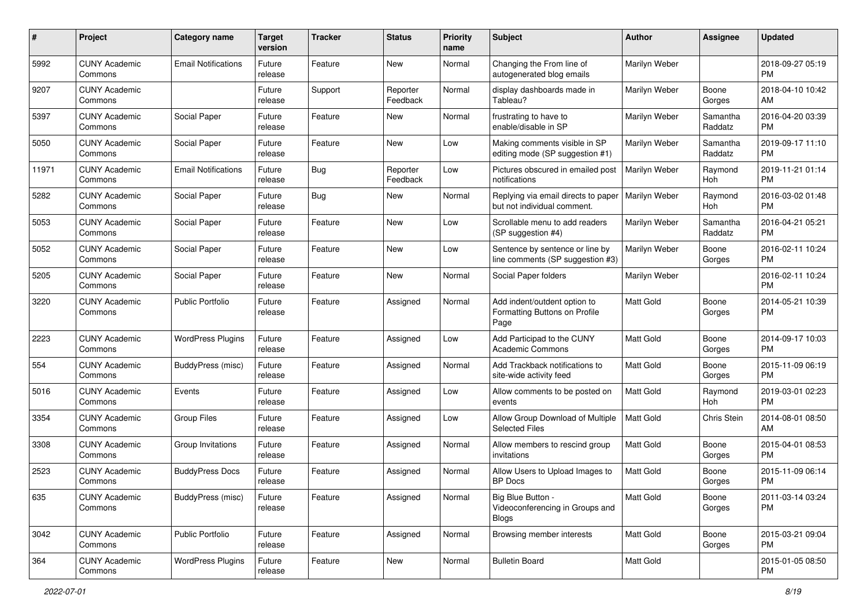| #     | Project                         | <b>Category name</b>       | <b>Target</b><br>version | <b>Tracker</b> | <b>Status</b>        | Priority<br>name | <b>Subject</b>                                                        | <b>Author</b>    | <b>Assignee</b>     | <b>Updated</b>                |
|-------|---------------------------------|----------------------------|--------------------------|----------------|----------------------|------------------|-----------------------------------------------------------------------|------------------|---------------------|-------------------------------|
| 5992  | <b>CUNY Academic</b><br>Commons | <b>Email Notifications</b> | Future<br>release        | Feature        | New                  | Normal           | Changing the From line of<br>autogenerated blog emails                | Marilyn Weber    |                     | 2018-09-27 05:19<br>PM.       |
| 9207  | <b>CUNY Academic</b><br>Commons |                            | Future<br>release        | Support        | Reporter<br>Feedback | Normal           | display dashboards made in<br>Tableau?                                | Marilyn Weber    | Boone<br>Gorges     | 2018-04-10 10:42<br>AM.       |
| 5397  | <b>CUNY Academic</b><br>Commons | Social Paper               | Future<br>release        | Feature        | New                  | Normal           | frustrating to have to<br>enable/disable in SP                        | Marilyn Weber    | Samantha<br>Raddatz | 2016-04-20 03:39<br><b>PM</b> |
| 5050  | <b>CUNY Academic</b><br>Commons | Social Paper               | Future<br>release        | Feature        | New                  | Low              | Making comments visible in SP<br>editing mode (SP suggestion #1)      | Marilyn Weber    | Samantha<br>Raddatz | 2019-09-17 11:10<br><b>PM</b> |
| 11971 | <b>CUNY Academic</b><br>Commons | <b>Email Notifications</b> | Future<br>release        | Bug            | Reporter<br>Feedback | Low              | Pictures obscured in emailed post<br>notifications                    | Marilyn Weber    | Raymond<br>Hoh      | 2019-11-21 01:14<br><b>PM</b> |
| 5282  | <b>CUNY Academic</b><br>Commons | Social Paper               | Future<br>release        | Bug            | New                  | Normal           | Replying via email directs to paper<br>but not individual comment.    | Marilyn Weber    | Raymond<br>Hoh      | 2016-03-02 01:48<br><b>PM</b> |
| 5053  | <b>CUNY Academic</b><br>Commons | Social Paper               | Future<br>release        | Feature        | New                  | Low              | Scrollable menu to add readers<br>(SP suggestion #4)                  | Marilyn Weber    | Samantha<br>Raddatz | 2016-04-21 05:21<br><b>PM</b> |
| 5052  | <b>CUNY Academic</b><br>Commons | Social Paper               | Future<br>release        | Feature        | <b>New</b>           | Low              | Sentence by sentence or line by<br>line comments (SP suggestion #3)   | Marilyn Weber    | Boone<br>Gorges     | 2016-02-11 10:24<br>PM.       |
| 5205  | <b>CUNY Academic</b><br>Commons | Social Paper               | Future<br>release        | Feature        | New                  | Normal           | Social Paper folders                                                  | Marilyn Weber    |                     | 2016-02-11 10:24<br><b>PM</b> |
| 3220  | <b>CUNY Academic</b><br>Commons | <b>Public Portfolio</b>    | Future<br>release        | Feature        | Assigned             | Normal           | Add indent/outdent option to<br>Formatting Buttons on Profile<br>Page | Matt Gold        | Boone<br>Gorges     | 2014-05-21 10:39<br>PM.       |
| 2223  | <b>CUNY Academic</b><br>Commons | <b>WordPress Plugins</b>   | Future<br>release        | Feature        | Assigned             | Low              | Add Participad to the CUNY<br>Academic Commons                        | Matt Gold        | Boone<br>Gorges     | 2014-09-17 10:03<br>PM.       |
| 554   | <b>CUNY Academic</b><br>Commons | BuddyPress (misc)          | Future<br>release        | Feature        | Assigned             | Normal           | Add Trackback notifications to<br>site-wide activity feed             | Matt Gold        | Boone<br>Gorges     | 2015-11-09 06:19<br>PM.       |
| 5016  | <b>CUNY Academic</b><br>Commons | Events                     | Future<br>release        | Feature        | Assigned             | Low              | Allow comments to be posted on<br>events                              | Matt Gold        | Raymond<br>Hoh      | 2019-03-01 02:23<br><b>PM</b> |
| 3354  | <b>CUNY Academic</b><br>Commons | <b>Group Files</b>         | Future<br>release        | Feature        | Assigned             | Low              | Allow Group Download of Multiple<br><b>Selected Files</b>             | <b>Matt Gold</b> | Chris Stein         | 2014-08-01 08:50<br>AM        |
| 3308  | <b>CUNY Academic</b><br>Commons | Group Invitations          | Future<br>release        | Feature        | Assigned             | Normal           | Allow members to rescind group<br>invitations                         | <b>Matt Gold</b> | Boone<br>Gorges     | 2015-04-01 08:53<br><b>PM</b> |
| 2523  | <b>CUNY Academic</b><br>Commons | <b>BuddyPress Docs</b>     | Future<br>release        | Feature        | Assigned             | Normal           | Allow Users to Upload Images to<br><b>BP</b> Docs                     | <b>Matt Gold</b> | Boone<br>Gorges     | 2015-11-09 06:14<br><b>PM</b> |
| 635   | <b>CUNY Academic</b><br>Commons | BuddyPress (misc)          | Future<br>release        | Feature        | Assigned             | Normal           | Big Blue Button -<br>Videoconferencing in Groups and<br>Blogs         | <b>Matt Gold</b> | Boone<br>Gorges     | 2011-03-14 03:24<br>PM        |
| 3042  | <b>CUNY Academic</b><br>Commons | Public Portfolio           | Future<br>release        | Feature        | Assigned             | Normal           | Browsing member interests                                             | Matt Gold        | Boone<br>Gorges     | 2015-03-21 09:04<br><b>PM</b> |
| 364   | <b>CUNY Academic</b><br>Commons | <b>WordPress Plugins</b>   | Future<br>release        | Feature        | New                  | Normal           | <b>Bulletin Board</b>                                                 | Matt Gold        |                     | 2015-01-05 08:50<br><b>PM</b> |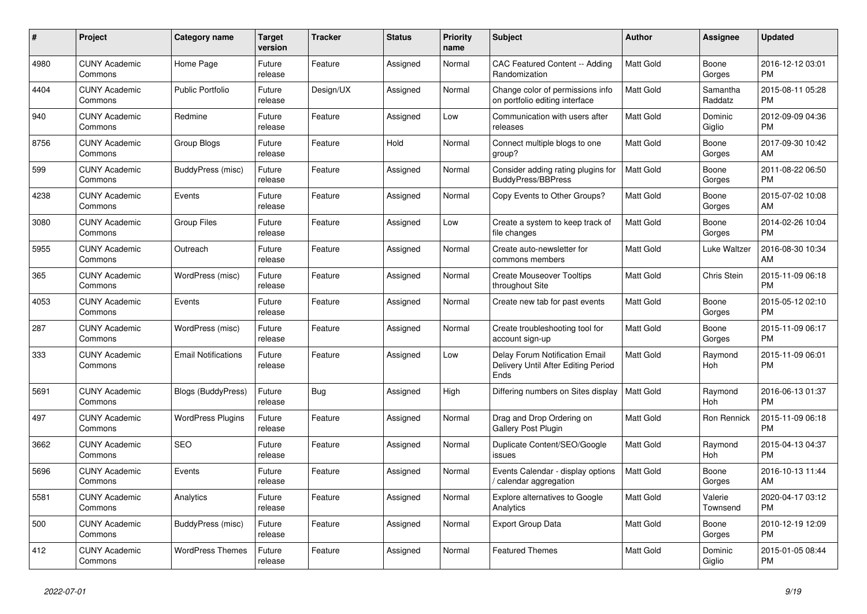| #    | <b>Project</b>                  | Category name              | Target<br>version | <b>Tracker</b> | <b>Status</b> | <b>Priority</b><br>name | <b>Subject</b>                                                                | <b>Author</b>    | Assignee            | <b>Updated</b>                |
|------|---------------------------------|----------------------------|-------------------|----------------|---------------|-------------------------|-------------------------------------------------------------------------------|------------------|---------------------|-------------------------------|
| 4980 | <b>CUNY Academic</b><br>Commons | Home Page                  | Future<br>release | Feature        | Assigned      | Normal                  | <b>CAC Featured Content -- Adding</b><br>Randomization                        | Matt Gold        | Boone<br>Gorges     | 2016-12-12 03:01<br><b>PM</b> |
| 4404 | <b>CUNY Academic</b><br>Commons | <b>Public Portfolio</b>    | Future<br>release | Design/UX      | Assigned      | Normal                  | Change color of permissions info<br>on portfolio editing interface            | Matt Gold        | Samantha<br>Raddatz | 2015-08-11 05:28<br><b>PM</b> |
| 940  | <b>CUNY Academic</b><br>Commons | Redmine                    | Future<br>release | Feature        | Assigned      | Low                     | Communication with users after<br>releases                                    | <b>Matt Gold</b> | Dominic<br>Giglio   | 2012-09-09 04:36<br><b>PM</b> |
| 8756 | <b>CUNY Academic</b><br>Commons | Group Blogs                | Future<br>release | Feature        | Hold          | Normal                  | Connect multiple blogs to one<br>group?                                       | Matt Gold        | Boone<br>Gorges     | 2017-09-30 10:42<br>AM        |
| 599  | <b>CUNY Academic</b><br>Commons | BuddyPress (misc)          | Future<br>release | Feature        | Assigned      | Normal                  | Consider adding rating plugins for<br><b>BuddyPress/BBPress</b>               | <b>Matt Gold</b> | Boone<br>Gorges     | 2011-08-22 06:50<br><b>PM</b> |
| 4238 | <b>CUNY Academic</b><br>Commons | Events                     | Future<br>release | Feature        | Assigned      | Normal                  | Copy Events to Other Groups?                                                  | Matt Gold        | Boone<br>Gorges     | 2015-07-02 10:08<br><b>AM</b> |
| 3080 | <b>CUNY Academic</b><br>Commons | <b>Group Files</b>         | Future<br>release | Feature        | Assigned      | Low                     | Create a system to keep track of<br>file changes                              | <b>Matt Gold</b> | Boone<br>Gorges     | 2014-02-26 10:04<br><b>PM</b> |
| 5955 | <b>CUNY Academic</b><br>Commons | Outreach                   | Future<br>release | Feature        | Assigned      | Normal                  | Create auto-newsletter for<br>commons members                                 | <b>Matt Gold</b> | Luke Waltzer        | 2016-08-30 10:34<br>AM        |
| 365  | <b>CUNY Academic</b><br>Commons | WordPress (misc)           | Future<br>release | Feature        | Assigned      | Normal                  | <b>Create Mouseover Tooltips</b><br>throughout Site                           | Matt Gold        | Chris Stein         | 2015-11-09 06:18<br><b>PM</b> |
| 4053 | <b>CUNY Academic</b><br>Commons | Events                     | Future<br>release | Feature        | Assigned      | Normal                  | Create new tab for past events                                                | Matt Gold        | Boone<br>Gorges     | 2015-05-12 02:10<br><b>PM</b> |
| 287  | <b>CUNY Academic</b><br>Commons | WordPress (misc)           | Future<br>release | Feature        | Assigned      | Normal                  | Create troubleshooting tool for<br>account sign-up                            | Matt Gold        | Boone<br>Gorges     | 2015-11-09 06:17<br><b>PM</b> |
| 333  | <b>CUNY Academic</b><br>Commons | <b>Email Notifications</b> | Future<br>release | Feature        | Assigned      | Low                     | Delay Forum Notification Email<br>Delivery Until After Editing Period<br>Ends | Matt Gold        | Raymond<br>Hoh      | 2015-11-09 06:01<br><b>PM</b> |
| 5691 | <b>CUNY Academic</b><br>Commons | Blogs (BuddyPress)         | Future<br>release | Bug            | Assigned      | High                    | Differing numbers on Sites display                                            | <b>Matt Gold</b> | Raymond<br>Hoh      | 2016-06-13 01:37<br><b>PM</b> |
| 497  | <b>CUNY Academic</b><br>Commons | <b>WordPress Plugins</b>   | Future<br>release | Feature        | Assigned      | Normal                  | Drag and Drop Ordering on<br><b>Gallery Post Plugin</b>                       | Matt Gold        | Ron Rennick         | 2015-11-09 06:18<br><b>PM</b> |
| 3662 | <b>CUNY Academic</b><br>Commons | <b>SEO</b>                 | Future<br>release | Feature        | Assigned      | Normal                  | Duplicate Content/SEO/Google<br>issues                                        | Matt Gold        | Raymond<br>Hoh      | 2015-04-13 04:37<br><b>PM</b> |
| 5696 | <b>CUNY Academic</b><br>Commons | Events                     | Future<br>release | Feature        | Assigned      | Normal                  | Events Calendar - display options<br>calendar aggregation                     | Matt Gold        | Boone<br>Gorges     | 2016-10-13 11:44<br>AM        |
| 5581 | <b>CUNY Academic</b><br>Commons | Analytics                  | Future<br>release | Feature        | Assigned      | Normal                  | <b>Explore alternatives to Google</b><br>Analytics                            | <b>Matt Gold</b> | Valerie<br>Townsend | 2020-04-17 03:12<br><b>PM</b> |
| 500  | <b>CUNY Academic</b><br>Commons | BuddyPress (misc)          | Future<br>release | Feature        | Assigned      | Normal                  | <b>Export Group Data</b>                                                      | <b>Matt Gold</b> | Boone<br>Gorges     | 2010-12-19 12:09<br><b>PM</b> |
| 412  | <b>CUNY Academic</b><br>Commons | <b>WordPress Themes</b>    | Future<br>release | Feature        | Assigned      | Normal                  | <b>Featured Themes</b>                                                        | Matt Gold        | Dominic<br>Giglio   | 2015-01-05 08:44<br><b>PM</b> |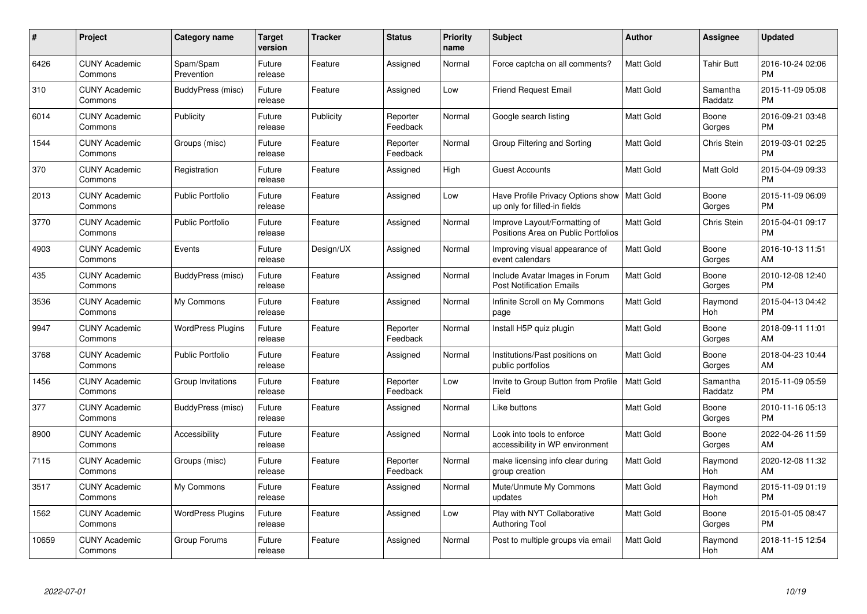| $\#$  | Project                         | <b>Category name</b>     | <b>Target</b><br>version | <b>Tracker</b> | <b>Status</b>        | Priority<br>name | <b>Subject</b>                                                                | <b>Author</b>    | <b>Assignee</b>     | <b>Updated</b>                |
|-------|---------------------------------|--------------------------|--------------------------|----------------|----------------------|------------------|-------------------------------------------------------------------------------|------------------|---------------------|-------------------------------|
| 6426  | <b>CUNY Academic</b><br>Commons | Spam/Spam<br>Prevention  | Future<br>release        | Feature        | Assigned             | Normal           | Force captcha on all comments?                                                | <b>Matt Gold</b> | <b>Tahir Butt</b>   | 2016-10-24 02:06<br><b>PM</b> |
| 310   | <b>CUNY Academic</b><br>Commons | BuddyPress (misc)        | Future<br>release        | Feature        | Assigned             | Low              | <b>Friend Request Email</b>                                                   | <b>Matt Gold</b> | Samantha<br>Raddatz | 2015-11-09 05:08<br><b>PM</b> |
| 6014  | <b>CUNY Academic</b><br>Commons | Publicity                | Future<br>release        | Publicity      | Reporter<br>Feedback | Normal           | Google search listing                                                         | Matt Gold        | Boone<br>Gorges     | 2016-09-21 03:48<br><b>PM</b> |
| 1544  | <b>CUNY Academic</b><br>Commons | Groups (misc)            | Future<br>release        | Feature        | Reporter<br>Feedback | Normal           | Group Filtering and Sorting                                                   | <b>Matt Gold</b> | Chris Stein         | 2019-03-01 02:25<br><b>PM</b> |
| 370   | <b>CUNY Academic</b><br>Commons | Registration             | Future<br>release        | Feature        | Assigned             | High             | <b>Guest Accounts</b>                                                         | <b>Matt Gold</b> | Matt Gold           | 2015-04-09 09:33<br><b>PM</b> |
| 2013  | <b>CUNY Academic</b><br>Commons | <b>Public Portfolio</b>  | Future<br>release        | Feature        | Assigned             | Low              | Have Profile Privacy Options show   Matt Gold<br>up only for filled-in fields |                  | Boone<br>Gorges     | 2015-11-09 06:09<br><b>PM</b> |
| 3770  | <b>CUNY Academic</b><br>Commons | <b>Public Portfolio</b>  | Future<br>release        | Feature        | Assigned             | Normal           | Improve Layout/Formatting of<br>Positions Area on Public Portfolios           | Matt Gold        | Chris Stein         | 2015-04-01 09:17<br><b>PM</b> |
| 4903  | <b>CUNY Academic</b><br>Commons | Events                   | Future<br>release        | Design/UX      | Assigned             | Normal           | Improving visual appearance of<br>event calendars                             | <b>Matt Gold</b> | Boone<br>Gorges     | 2016-10-13 11:51<br>AM        |
| 435   | <b>CUNY Academic</b><br>Commons | BuddyPress (misc)        | Future<br>release        | Feature        | Assigned             | Normal           | Include Avatar Images in Forum<br><b>Post Notification Emails</b>             | Matt Gold        | Boone<br>Gorges     | 2010-12-08 12:40<br><b>PM</b> |
| 3536  | <b>CUNY Academic</b><br>Commons | My Commons               | Future<br>release        | Feature        | Assigned             | Normal           | Infinite Scroll on My Commons<br>page                                         | <b>Matt Gold</b> | Raymond<br>Hoh      | 2015-04-13 04:42<br><b>PM</b> |
| 9947  | <b>CUNY Academic</b><br>Commons | <b>WordPress Plugins</b> | Future<br>release        | Feature        | Reporter<br>Feedback | Normal           | Install H5P quiz plugin                                                       | Matt Gold        | Boone<br>Gorges     | 2018-09-11 11:01<br>AM        |
| 3768  | <b>CUNY Academic</b><br>Commons | <b>Public Portfolio</b>  | Future<br>release        | Feature        | Assigned             | Normal           | Institutions/Past positions on<br>public portfolios                           | Matt Gold        | Boone<br>Gorges     | 2018-04-23 10:44<br>AM        |
| 1456  | <b>CUNY Academic</b><br>Commons | Group Invitations        | Future<br>release        | Feature        | Reporter<br>Feedback | Low              | Invite to Group Button from Profile<br>Field                                  | <b>Matt Gold</b> | Samantha<br>Raddatz | 2015-11-09 05:59<br><b>PM</b> |
| 377   | <b>CUNY Academic</b><br>Commons | BuddyPress (misc)        | Future<br>release        | Feature        | Assigned             | Normal           | Like buttons                                                                  | Matt Gold        | Boone<br>Gorges     | 2010-11-16 05:13<br><b>PM</b> |
| 8900  | <b>CUNY Academic</b><br>Commons | Accessibility            | Future<br>release        | Feature        | Assigned             | Normal           | Look into tools to enforce<br>accessibility in WP environment                 | <b>Matt Gold</b> | Boone<br>Gorges     | 2022-04-26 11:59<br>AM        |
| 7115  | <b>CUNY Academic</b><br>Commons | Groups (misc)            | Future<br>release        | Feature        | Reporter<br>Feedback | Normal           | make licensing info clear during<br>group creation                            | <b>Matt Gold</b> | Raymond<br>Hoh      | 2020-12-08 11:32<br>AM        |
| 3517  | <b>CUNY Academic</b><br>Commons | My Commons               | Future<br>release        | Feature        | Assigned             | Normal           | Mute/Unmute My Commons<br>updates                                             | <b>Matt Gold</b> | Raymond<br>Hoh      | 2015-11-09 01:19<br><b>PM</b> |
| 1562  | <b>CUNY Academic</b><br>Commons | <b>WordPress Plugins</b> | Future<br>release        | Feature        | Assigned             | Low              | Play with NYT Collaborative<br>Authoring Tool                                 | Matt Gold        | Boone<br>Gorges     | 2015-01-05 08:47<br><b>PM</b> |
| 10659 | CUNY Academic<br>Commons        | Group Forums             | Future<br>release        | Feature        | Assigned             | Normal           | Post to multiple groups via email                                             | <b>Matt Gold</b> | Raymond<br>Hoh      | 2018-11-15 12:54<br>AM        |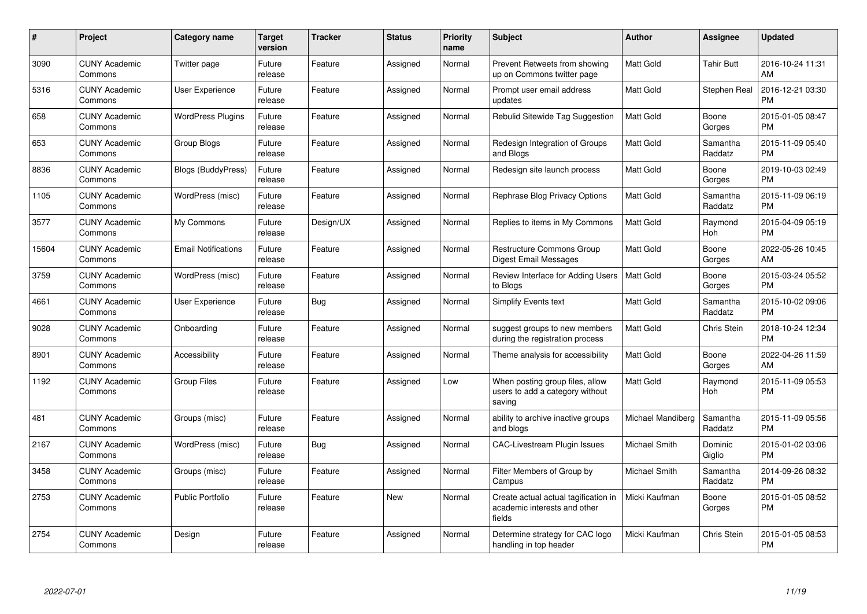| #     | Project                         | <b>Category name</b>       | <b>Target</b><br>version | <b>Tracker</b> | <b>Status</b> | Priority<br>name | <b>Subject</b>                                                                 | <b>Author</b>     | <b>Assignee</b>     | <b>Updated</b>                |
|-------|---------------------------------|----------------------------|--------------------------|----------------|---------------|------------------|--------------------------------------------------------------------------------|-------------------|---------------------|-------------------------------|
| 3090  | <b>CUNY Academic</b><br>Commons | Twitter page               | Future<br>release        | Feature        | Assigned      | Normal           | Prevent Retweets from showing<br>up on Commons twitter page                    | Matt Gold         | Tahir Butt          | 2016-10-24 11:31<br>AM        |
| 5316  | <b>CUNY Academic</b><br>Commons | <b>User Experience</b>     | Future<br>release        | Feature        | Assigned      | Normal           | Prompt user email address<br>updates                                           | <b>Matt Gold</b>  | Stephen Real        | 2016-12-21 03:30<br><b>PM</b> |
| 658   | <b>CUNY Academic</b><br>Commons | <b>WordPress Plugins</b>   | Future<br>release        | Feature        | Assigned      | Normal           | Rebulid Sitewide Tag Suggestion                                                | <b>Matt Gold</b>  | Boone<br>Gorges     | 2015-01-05 08:47<br><b>PM</b> |
| 653   | <b>CUNY Academic</b><br>Commons | Group Blogs                | Future<br>release        | Feature        | Assigned      | Normal           | Redesign Integration of Groups<br>and Blogs                                    | <b>Matt Gold</b>  | Samantha<br>Raddatz | 2015-11-09 05:40<br><b>PM</b> |
| 8836  | <b>CUNY Academic</b><br>Commons | <b>Blogs (BuddyPress)</b>  | Future<br>release        | Feature        | Assigned      | Normal           | Redesign site launch process                                                   | <b>Matt Gold</b>  | Boone<br>Gorges     | 2019-10-03 02:49<br><b>PM</b> |
| 1105  | <b>CUNY Academic</b><br>Commons | WordPress (misc)           | Future<br>release        | Feature        | Assigned      | Normal           | Rephrase Blog Privacy Options                                                  | <b>Matt Gold</b>  | Samantha<br>Raddatz | 2015-11-09 06:19<br><b>PM</b> |
| 3577  | <b>CUNY Academic</b><br>Commons | My Commons                 | Future<br>release        | Design/UX      | Assigned      | Normal           | Replies to items in My Commons                                                 | <b>Matt Gold</b>  | Raymond<br>Hoh      | 2015-04-09 05:19<br>PM        |
| 15604 | <b>CUNY Academic</b><br>Commons | <b>Email Notifications</b> | Future<br>release        | Feature        | Assigned      | Normal           | Restructure Commons Group<br>Digest Email Messages                             | Matt Gold         | Boone<br>Gorges     | 2022-05-26 10:45<br>AM        |
| 3759  | <b>CUNY Academic</b><br>Commons | WordPress (misc)           | Future<br>release        | Feature        | Assigned      | Normal           | Review Interface for Adding Users<br>to Blogs                                  | <b>Matt Gold</b>  | Boone<br>Gorges     | 2015-03-24 05:52<br><b>PM</b> |
| 4661  | <b>CUNY Academic</b><br>Commons | User Experience            | Future<br>release        | <b>Bug</b>     | Assigned      | Normal           | Simplify Events text                                                           | Matt Gold         | Samantha<br>Raddatz | 2015-10-02 09:06<br><b>PM</b> |
| 9028  | <b>CUNY Academic</b><br>Commons | Onboarding                 | Future<br>release        | Feature        | Assigned      | Normal           | suggest groups to new members<br>during the registration process               | <b>Matt Gold</b>  | <b>Chris Stein</b>  | 2018-10-24 12:34<br><b>PM</b> |
| 8901  | <b>CUNY Academic</b><br>Commons | Accessibility              | Future<br>release        | Feature        | Assigned      | Normal           | Theme analysis for accessibility                                               | <b>Matt Gold</b>  | Boone<br>Gorges     | 2022-04-26 11:59<br>AM        |
| 1192  | <b>CUNY Academic</b><br>Commons | <b>Group Files</b>         | Future<br>release        | Feature        | Assigned      | Low              | When posting group files, allow<br>users to add a category without<br>saving   | <b>Matt Gold</b>  | Raymond<br>Hoh      | 2015-11-09 05:53<br><b>PM</b> |
| 481   | <b>CUNY Academic</b><br>Commons | Groups (misc)              | Future<br>release        | Feature        | Assigned      | Normal           | ability to archive inactive groups<br>and blogs                                | Michael Mandiberg | Samantha<br>Raddatz | 2015-11-09 05:56<br><b>PM</b> |
| 2167  | <b>CUNY Academic</b><br>Commons | WordPress (misc)           | Future<br>release        | Bug            | Assigned      | Normal           | <b>CAC-Livestream Plugin Issues</b>                                            | Michael Smith     | Dominic<br>Giglio   | 2015-01-02 03:06<br><b>PM</b> |
| 3458  | <b>CUNY Academic</b><br>Commons | Groups (misc)              | Future<br>release        | Feature        | Assigned      | Normal           | Filter Members of Group by<br>Campus                                           | Michael Smith     | Samantha<br>Raddatz | 2014-09-26 08:32<br><b>PM</b> |
| 2753  | <b>CUNY Academic</b><br>Commons | <b>Public Portfolio</b>    | Future<br>release        | Feature        | New           | Normal           | Create actual actual tagification in<br>academic interests and other<br>fields | Micki Kaufman     | Boone<br>Gorges     | 2015-01-05 08:52<br><b>PM</b> |
| 2754  | <b>CUNY Academic</b><br>Commons | Design                     | Future<br>release        | Feature        | Assigned      | Normal           | Determine strategy for CAC logo<br>handling in top header                      | Micki Kaufman     | Chris Stein         | 2015-01-05 08:53<br><b>PM</b> |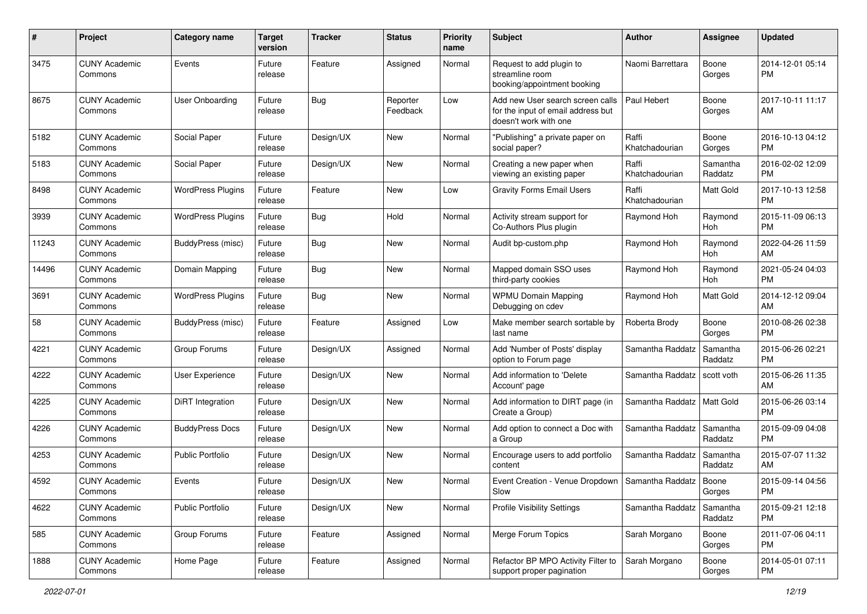| #     | Project                         | <b>Category name</b>     | <b>Target</b><br>version | Tracker    | <b>Status</b>        | <b>Priority</b><br>name | <b>Subject</b>                                                                                  | Author                  | <b>Assignee</b>       | <b>Updated</b>                |
|-------|---------------------------------|--------------------------|--------------------------|------------|----------------------|-------------------------|-------------------------------------------------------------------------------------------------|-------------------------|-----------------------|-------------------------------|
| 3475  | <b>CUNY Academic</b><br>Commons | Events                   | Future<br>release        | Feature    | Assigned             | Normal                  | Request to add plugin to<br>streamline room<br>booking/appointment booking                      | Naomi Barrettara        | Boone<br>Gorges       | 2014-12-01 05:14<br>PM        |
| 8675  | <b>CUNY Academic</b><br>Commons | User Onboarding          | Future<br>release        | Bug        | Reporter<br>Feedback | Low                     | Add new User search screen calls<br>for the input of email address but<br>doesn't work with one | Paul Hebert             | Boone<br>Gorges       | 2017-10-11 11:17<br>AM        |
| 5182  | <b>CUNY Academic</b><br>Commons | Social Paper             | Future<br>release        | Design/UX  | <b>New</b>           | Normal                  | "Publishing" a private paper on<br>social paper?                                                | Raffi<br>Khatchadourian | Boone<br>Gorges       | 2016-10-13 04:12<br>PM        |
| 5183  | <b>CUNY Academic</b><br>Commons | Social Paper             | Future<br>release        | Design/UX  | New                  | Normal                  | Creating a new paper when<br>viewing an existing paper                                          | Raffi<br>Khatchadourian | Samantha<br>Raddatz   | 2016-02-02 12:09<br><b>PM</b> |
| 8498  | <b>CUNY Academic</b><br>Commons | <b>WordPress Plugins</b> | Future<br>release        | Feature    | <b>New</b>           | Low                     | <b>Gravity Forms Email Users</b>                                                                | Raffi<br>Khatchadourian | Matt Gold             | 2017-10-13 12:58<br><b>PM</b> |
| 3939  | <b>CUNY Academic</b><br>Commons | <b>WordPress Plugins</b> | Future<br>release        | Bug        | Hold                 | Normal                  | Activity stream support for<br>Co-Authors Plus plugin                                           | Raymond Hoh             | Raymond<br>Hoh        | 2015-11-09 06:13<br><b>PM</b> |
| 11243 | <b>CUNY Academic</b><br>Commons | BuddyPress (misc)        | Future<br>release        | <b>Bug</b> | <b>New</b>           | Normal                  | Audit bp-custom.php                                                                             | Raymond Hoh             | Raymond<br><b>Hoh</b> | 2022-04-26 11:59<br>AM        |
| 14496 | <b>CUNY Academic</b><br>Commons | Domain Mapping           | Future<br>release        | Bug        | New                  | Normal                  | Mapped domain SSO uses<br>third-party cookies                                                   | Raymond Hoh             | Raymond<br>Hoh        | 2021-05-24 04:03<br><b>PM</b> |
| 3691  | <b>CUNY Academic</b><br>Commons | <b>WordPress Plugins</b> | Future<br>release        | Bug        | <b>New</b>           | Normal                  | <b>WPMU Domain Mapping</b><br>Debugging on cdev                                                 | Raymond Hoh             | Matt Gold             | 2014-12-12 09:04<br>AM        |
| 58    | <b>CUNY Academic</b><br>Commons | BuddyPress (misc)        | Future<br>release        | Feature    | Assigned             | Low                     | Make member search sortable by<br>last name                                                     | Roberta Brody           | Boone<br>Gorges       | 2010-08-26 02:38<br><b>PM</b> |
| 4221  | <b>CUNY Academic</b><br>Commons | Group Forums             | Future<br>release        | Design/UX  | Assigned             | Normal                  | Add 'Number of Posts' display<br>option to Forum page                                           | Samantha Raddatz        | Samantha<br>Raddatz   | 2015-06-26 02:21<br><b>PM</b> |
| 4222  | <b>CUNY Academic</b><br>Commons | User Experience          | Future<br>release        | Design/UX  | <b>New</b>           | Normal                  | Add information to 'Delete<br>Account' page                                                     | Samantha Raddatz        | scott voth            | 2015-06-26 11:35<br>AM        |
| 4225  | <b>CUNY Academic</b><br>Commons | DiRT Integration         | Future<br>release        | Design/UX  | <b>New</b>           | Normal                  | Add information to DIRT page (in<br>Create a Group)                                             | Samantha Raddatz        | Matt Gold             | 2015-06-26 03:14<br><b>PM</b> |
| 4226  | <b>CUNY Academic</b><br>Commons | <b>BuddyPress Docs</b>   | Future<br>release        | Design/UX  | <b>New</b>           | Normal                  | Add option to connect a Doc with<br>a Group                                                     | Samantha Raddatz        | Samantha<br>Raddatz   | 2015-09-09 04:08<br><b>PM</b> |
| 4253  | <b>CUNY Academic</b><br>Commons | <b>Public Portfolio</b>  | Future<br>release        | Design/UX  | New                  | Normal                  | Encourage users to add portfolio<br>content                                                     | Samantha Raddatz        | Samantha<br>Raddatz   | 2015-07-07 11:32<br>AM        |
| 4592  | <b>CUNY Academic</b><br>Commons | Events                   | Future<br>release        | Design/UX  | <b>New</b>           | Normal                  | Event Creation - Venue Dropdown   Samantha Raddatz<br>Slow                                      |                         | Boone<br>Gorges       | 2015-09-14 04:56<br><b>PM</b> |
| 4622  | <b>CUNY Academic</b><br>Commons | <b>Public Portfolio</b>  | Future<br>release        | Design/UX  | New                  | Normal                  | <b>Profile Visibility Settings</b>                                                              | Samantha Raddatz        | Samantha<br>Raddatz   | 2015-09-21 12:18<br><b>PM</b> |
| 585   | <b>CUNY Academic</b><br>Commons | Group Forums             | Future<br>release        | Feature    | Assigned             | Normal                  | Merge Forum Topics                                                                              | Sarah Morgano           | Boone<br>Gorges       | 2011-07-06 04:11<br><b>PM</b> |
| 1888  | <b>CUNY Academic</b><br>Commons | Home Page                | Future<br>release        | Feature    | Assigned             | Normal                  | Refactor BP MPO Activity Filter to<br>support proper pagination                                 | Sarah Morgano           | Boone<br>Gorges       | 2014-05-01 07:11<br><b>PM</b> |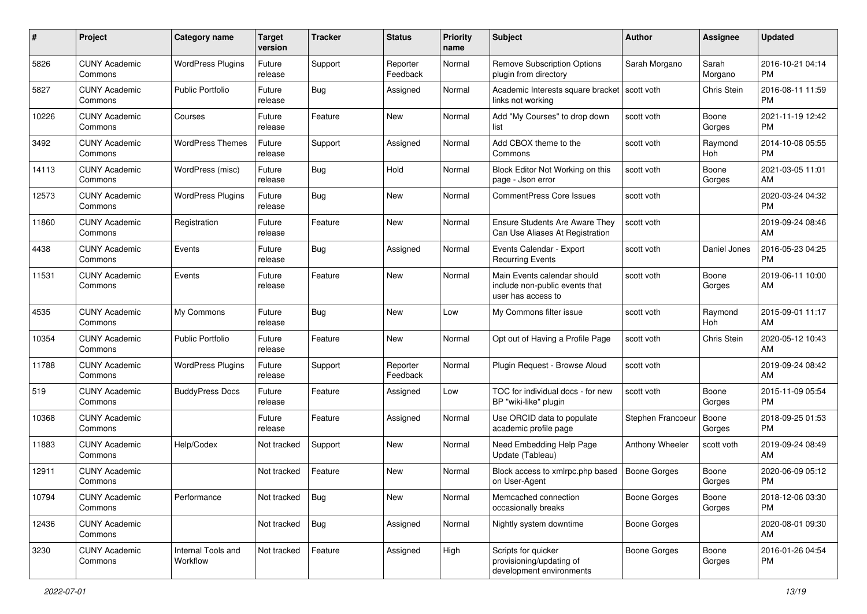| #     | Project                         | <b>Category name</b>           | <b>Target</b><br>version | <b>Tracker</b> | <b>Status</b>        | Priority<br>name | <b>Subject</b>                                                                      | <b>Author</b>       | <b>Assignee</b>  | <b>Updated</b>                |
|-------|---------------------------------|--------------------------------|--------------------------|----------------|----------------------|------------------|-------------------------------------------------------------------------------------|---------------------|------------------|-------------------------------|
| 5826  | <b>CUNY Academic</b><br>Commons | <b>WordPress Plugins</b>       | Future<br>release        | Support        | Reporter<br>Feedback | Normal           | <b>Remove Subscription Options</b><br>plugin from directory                         | Sarah Morgano       | Sarah<br>Morgano | 2016-10-21 04:14<br>PM.       |
| 5827  | <b>CUNY Academic</b><br>Commons | <b>Public Portfolio</b>        | Future<br>release        | Bug            | Assigned             | Normal           | Academic Interests square bracket<br>links not working                              | l scott voth        | Chris Stein      | 2016-08-11 11:59<br><b>PM</b> |
| 10226 | <b>CUNY Academic</b><br>Commons | Courses                        | Future<br>release        | Feature        | New                  | Normal           | Add "My Courses" to drop down<br>list                                               | scott voth          | Boone<br>Gorges  | 2021-11-19 12:42<br><b>PM</b> |
| 3492  | <b>CUNY Academic</b><br>Commons | <b>WordPress Themes</b>        | Future<br>release        | Support        | Assigned             | Normal           | Add CBOX theme to the<br>Commons                                                    | scott voth          | Raymond<br>Hoh   | 2014-10-08 05:55<br><b>PM</b> |
| 14113 | <b>CUNY Academic</b><br>Commons | WordPress (misc)               | Future<br>release        | Bug            | Hold                 | Normal           | Block Editor Not Working on this<br>page - Json error                               | scott voth          | Boone<br>Gorges  | 2021-03-05 11:01<br>AM        |
| 12573 | <b>CUNY Academic</b><br>Commons | <b>WordPress Plugins</b>       | Future<br>release        | Bug            | New                  | Normal           | <b>CommentPress Core Issues</b>                                                     | scott voth          |                  | 2020-03-24 04:32<br><b>PM</b> |
| 11860 | <b>CUNY Academic</b><br>Commons | Registration                   | Future<br>release        | Feature        | New                  | Normal           | <b>Ensure Students Are Aware They</b><br>Can Use Aliases At Registration            | scott voth          |                  | 2019-09-24 08:46<br>AM        |
| 4438  | <b>CUNY Academic</b><br>Commons | Events                         | Future<br>release        | <b>Bug</b>     | Assigned             | Normal           | Events Calendar - Export<br><b>Recurring Events</b>                                 | scott voth          | Daniel Jones     | 2016-05-23 04:25<br><b>PM</b> |
| 11531 | <b>CUNY Academic</b><br>Commons | Events                         | Future<br>release        | Feature        | New                  | Normal           | Main Events calendar should<br>include non-public events that<br>user has access to | scott voth          | Boone<br>Gorges  | 2019-06-11 10:00<br>AM        |
| 4535  | <b>CUNY Academic</b><br>Commons | My Commons                     | Future<br>release        | <b>Bug</b>     | New                  | Low              | My Commons filter issue                                                             | scott voth          | Raymond<br>Hoh   | 2015-09-01 11:17<br>AM        |
| 10354 | <b>CUNY Academic</b><br>Commons | <b>Public Portfolio</b>        | Future<br>release        | Feature        | New                  | Normal           | Opt out of Having a Profile Page                                                    | scott voth          | Chris Stein      | 2020-05-12 10:43<br>AM.       |
| 11788 | <b>CUNY Academic</b><br>Commons | <b>WordPress Plugins</b>       | Future<br>release        | Support        | Reporter<br>Feedback | Normal           | Plugin Request - Browse Aloud                                                       | scott voth          |                  | 2019-09-24 08:42<br>AM        |
| 519   | <b>CUNY Academic</b><br>Commons | <b>BuddyPress Docs</b>         | Future<br>release        | Feature        | Assigned             | Low              | TOC for individual docs - for new<br>BP "wiki-like" plugin                          | scott voth          | Boone<br>Gorges  | 2015-11-09 05:54<br><b>PM</b> |
| 10368 | <b>CUNY Academic</b><br>Commons |                                | Future<br>release        | Feature        | Assigned             | Normal           | Use ORCID data to populate<br>academic profile page                                 | Stephen Francoeur   | Boone<br>Gorges  | 2018-09-25 01:53<br><b>PM</b> |
| 11883 | <b>CUNY Academic</b><br>Commons | Help/Codex                     | Not tracked              | Support        | New                  | Normal           | Need Embedding Help Page<br>Update (Tableau)                                        | Anthony Wheeler     | scott voth       | 2019-09-24 08:49<br>AM.       |
| 12911 | <b>CUNY Academic</b><br>Commons |                                | Not tracked              | Feature        | New                  | Normal           | Block access to xmlrpc.php based<br>on User-Agent                                   | <b>Boone Gorges</b> | Boone<br>Gorges  | 2020-06-09 05:12<br>PM        |
| 10794 | <b>CUNY Academic</b><br>Commons | Performance                    | Not tracked              | Bug            | New                  | Normal           | Memcached connection<br>occasionally breaks                                         | <b>Boone Gorges</b> | Boone<br>Gorges  | 2018-12-06 03:30<br>PM        |
| 12436 | <b>CUNY Academic</b><br>Commons |                                | Not tracked              | Bug            | Assigned             | Normal           | Nightly system downtime                                                             | Boone Gorges        |                  | 2020-08-01 09:30<br>AM        |
| 3230  | <b>CUNY Academic</b><br>Commons | Internal Tools and<br>Workflow | Not tracked              | Feature        | Assigned             | High             | Scripts for quicker<br>provisioning/updating of<br>development environments         | Boone Gorges        | Boone<br>Gorges  | 2016-01-26 04:54<br><b>PM</b> |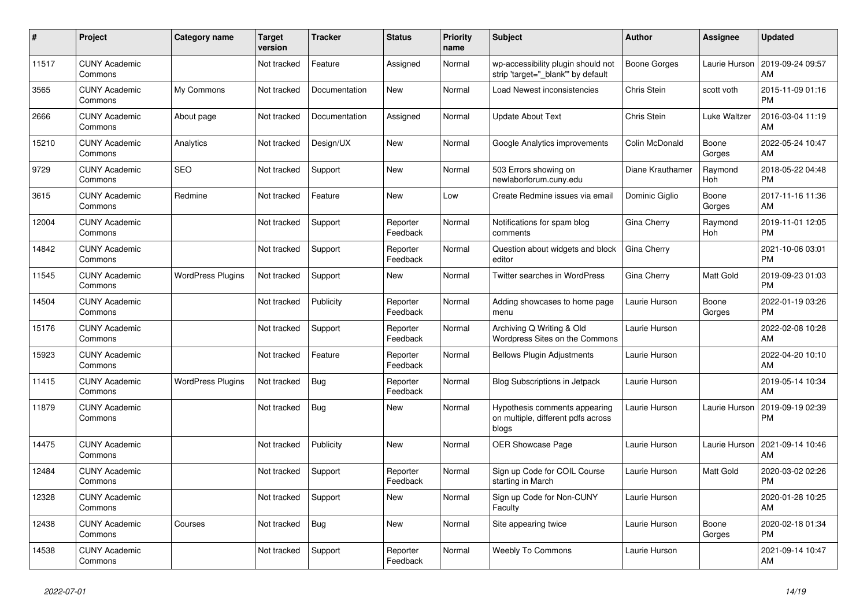| #     | Project                         | <b>Category name</b>     | <b>Target</b><br>version | <b>Tracker</b> | <b>Status</b>        | <b>Priority</b><br>name | <b>Subject</b>                                                               | <b>Author</b>    | Assignee        | <b>Updated</b>                |
|-------|---------------------------------|--------------------------|--------------------------|----------------|----------------------|-------------------------|------------------------------------------------------------------------------|------------------|-----------------|-------------------------------|
| 11517 | <b>CUNY Academic</b><br>Commons |                          | Not tracked              | Feature        | Assigned             | Normal                  | wp-accessibility plugin should not<br>strip 'target=" blank" by default      | Boone Gorges     | Laurie Hurson   | 2019-09-24 09:57<br>AM        |
| 3565  | <b>CUNY Academic</b><br>Commons | My Commons               | Not tracked              | Documentation  | New                  | Normal                  | Load Newest inconsistencies                                                  | Chris Stein      | scott voth      | 2015-11-09 01:16<br><b>PM</b> |
| 2666  | <b>CUNY Academic</b><br>Commons | About page               | Not tracked              | Documentation  | Assigned             | Normal                  | <b>Update About Text</b>                                                     | Chris Stein      | Luke Waltzer    | 2016-03-04 11:19<br>AM        |
| 15210 | <b>CUNY Academic</b><br>Commons | Analytics                | Not tracked              | Design/UX      | <b>New</b>           | Normal                  | Google Analytics improvements                                                | Colin McDonald   | Boone<br>Gorges | 2022-05-24 10:47<br>AM        |
| 9729  | <b>CUNY Academic</b><br>Commons | <b>SEO</b>               | Not tracked              | Support        | New                  | Normal                  | 503 Errors showing on<br>newlaborforum.cuny.edu                              | Diane Krauthamer | Raymond<br>Hoh  | 2018-05-22 04:48<br><b>PM</b> |
| 3615  | <b>CUNY Academic</b><br>Commons | Redmine                  | Not tracked              | Feature        | <b>New</b>           | Low                     | Create Redmine issues via email                                              | Dominic Giglio   | Boone<br>Gorges | 2017-11-16 11:36<br>AM        |
| 12004 | <b>CUNY Academic</b><br>Commons |                          | Not tracked              | Support        | Reporter<br>Feedback | Normal                  | Notifications for spam blog<br>comments                                      | Gina Cherry      | Raymond<br>Hoh  | 2019-11-01 12:05<br><b>PM</b> |
| 14842 | <b>CUNY Academic</b><br>Commons |                          | Not tracked              | Support        | Reporter<br>Feedback | Normal                  | Question about widgets and block<br>editor                                   | Gina Cherry      |                 | 2021-10-06 03:01<br><b>PM</b> |
| 11545 | <b>CUNY Academic</b><br>Commons | <b>WordPress Plugins</b> | Not tracked              | Support        | New                  | Normal                  | Twitter searches in WordPress                                                | Gina Cherry      | Matt Gold       | 2019-09-23 01:03<br><b>PM</b> |
| 14504 | <b>CUNY Academic</b><br>Commons |                          | Not tracked              | Publicity      | Reporter<br>Feedback | Normal                  | Adding showcases to home page<br>menu                                        | Laurie Hurson    | Boone<br>Gorges | 2022-01-19 03:26<br><b>PM</b> |
| 15176 | <b>CUNY Academic</b><br>Commons |                          | Not tracked              | Support        | Reporter<br>Feedback | Normal                  | Archiving Q Writing & Old<br>Wordpress Sites on the Commons                  | Laurie Hurson    |                 | 2022-02-08 10:28<br>AM        |
| 15923 | <b>CUNY Academic</b><br>Commons |                          | Not tracked              | Feature        | Reporter<br>Feedback | Normal                  | <b>Bellows Plugin Adjustments</b>                                            | Laurie Hurson    |                 | 2022-04-20 10:10<br>AM        |
| 11415 | <b>CUNY Academic</b><br>Commons | <b>WordPress Plugins</b> | Not tracked              | <b>Bug</b>     | Reporter<br>Feedback | Normal                  | Blog Subscriptions in Jetpack                                                | Laurie Hurson    |                 | 2019-05-14 10:34<br>AM        |
| 11879 | <b>CUNY Academic</b><br>Commons |                          | Not tracked              | Bug            | <b>New</b>           | Normal                  | Hypothesis comments appearing<br>on multiple, different pdfs across<br>blogs | Laurie Hurson    | Laurie Hurson   | 2019-09-19 02:39<br><b>PM</b> |
| 14475 | <b>CUNY Academic</b><br>Commons |                          | Not tracked              | Publicity      | <b>New</b>           | Normal                  | <b>OER Showcase Page</b>                                                     | Laurie Hurson    | Laurie Hurson   | 2021-09-14 10:46<br>AM        |
| 12484 | <b>CUNY Academic</b><br>Commons |                          | Not tracked              | Support        | Reporter<br>Feedback | Normal                  | Sign up Code for COIL Course<br>starting in March                            | Laurie Hurson    | Matt Gold       | 2020-03-02 02:26<br><b>PM</b> |
| 12328 | <b>CUNY Academic</b><br>Commons |                          | Not tracked              | Support        | <b>New</b>           | Normal                  | Sign up Code for Non-CUNY<br>Faculty                                         | Laurie Hurson    |                 | 2020-01-28 10:25<br>AM        |
| 12438 | <b>CUNY Academic</b><br>Commons | Courses                  | Not tracked              | Bug            | <b>New</b>           | Normal                  | Site appearing twice                                                         | Laurie Hurson    | Boone<br>Gorges | 2020-02-18 01:34<br><b>PM</b> |
| 14538 | <b>CUNY Academic</b><br>Commons |                          | Not tracked              | Support        | Reporter<br>Feedback | Normal                  | Weebly To Commons                                                            | Laurie Hurson    |                 | 2021-09-14 10:47<br>AM        |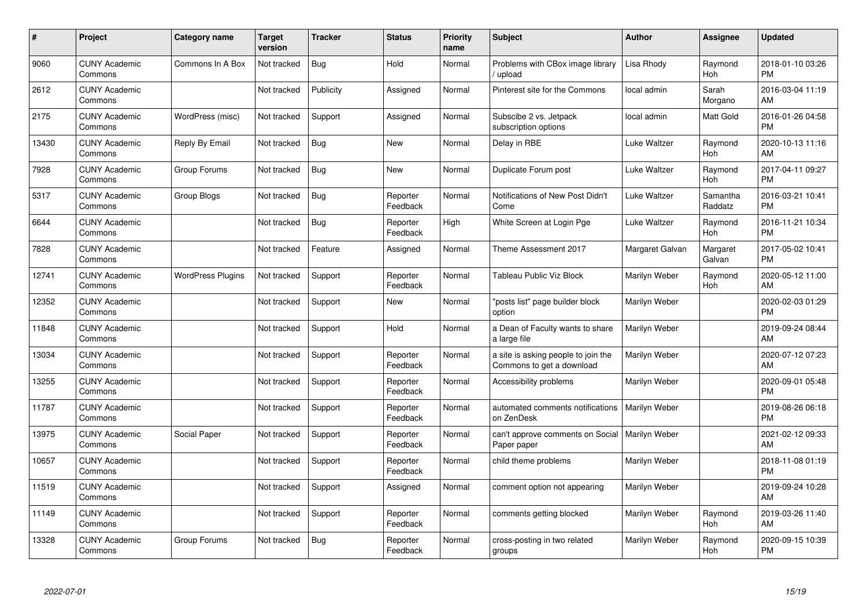| #     | Project                         | <b>Category name</b>     | <b>Target</b><br>version | <b>Tracker</b> | <b>Status</b>        | <b>Priority</b><br>name | <b>Subject</b>                                                   | <b>Author</b>   | <b>Assignee</b>     | <b>Updated</b>                |
|-------|---------------------------------|--------------------------|--------------------------|----------------|----------------------|-------------------------|------------------------------------------------------------------|-----------------|---------------------|-------------------------------|
| 9060  | <b>CUNY Academic</b><br>Commons | Commons In A Box         | Not tracked              | Bug            | Hold                 | Normal                  | Problems with CBox image library<br>/ upload                     | Lisa Rhody      | Raymond<br>Hoh      | 2018-01-10 03:26<br><b>PM</b> |
| 2612  | <b>CUNY Academic</b><br>Commons |                          | Not tracked              | Publicity      | Assigned             | Normal                  | Pinterest site for the Commons                                   | local admin     | Sarah<br>Morgano    | 2016-03-04 11:19<br>AM        |
| 2175  | <b>CUNY Academic</b><br>Commons | WordPress (misc)         | Not tracked              | Support        | Assigned             | Normal                  | Subscibe 2 vs. Jetpack<br>subscription options                   | local admin     | Matt Gold           | 2016-01-26 04:58<br><b>PM</b> |
| 13430 | <b>CUNY Academic</b><br>Commons | Reply By Email           | Not tracked              | <b>Bug</b>     | <b>New</b>           | Normal                  | Delay in RBE                                                     | Luke Waltzer    | Raymond<br>Hoh      | 2020-10-13 11:16<br>AM        |
| 7928  | <b>CUNY Academic</b><br>Commons | Group Forums             | Not tracked              | <b>Bug</b>     | <b>New</b>           | Normal                  | Duplicate Forum post                                             | Luke Waltzer    | Raymond<br>Hoh      | 2017-04-11 09:27<br><b>PM</b> |
| 5317  | <b>CUNY Academic</b><br>Commons | Group Blogs              | Not tracked              | <b>Bug</b>     | Reporter<br>Feedback | Normal                  | Notifications of New Post Didn't<br>Come                         | Luke Waltzer    | Samantha<br>Raddatz | 2016-03-21 10:41<br><b>PM</b> |
| 6644  | <b>CUNY Academic</b><br>Commons |                          | Not tracked              | Bug            | Reporter<br>Feedback | High                    | White Screen at Login Pge                                        | Luke Waltzer    | Raymond<br>Hoh      | 2016-11-21 10:34<br><b>PM</b> |
| 7828  | <b>CUNY Academic</b><br>Commons |                          | Not tracked              | Feature        | Assigned             | Normal                  | Theme Assessment 2017                                            | Margaret Galvan | Margaret<br>Galvan  | 2017-05-02 10:41<br><b>PM</b> |
| 12741 | <b>CUNY Academic</b><br>Commons | <b>WordPress Plugins</b> | Not tracked              | Support        | Reporter<br>Feedback | Normal                  | Tableau Public Viz Block                                         | Marilyn Weber   | Raymond<br>Hoh      | 2020-05-12 11:00<br>AM        |
| 12352 | <b>CUNY Academic</b><br>Commons |                          | Not tracked              | Support        | <b>New</b>           | Normal                  | "posts list" page builder block<br>option                        | Marilyn Weber   |                     | 2020-02-03 01:29<br><b>PM</b> |
| 11848 | <b>CUNY Academic</b><br>Commons |                          | Not tracked              | Support        | Hold                 | Normal                  | a Dean of Faculty wants to share<br>a large file                 | Marilyn Weber   |                     | 2019-09-24 08:44<br>AM        |
| 13034 | <b>CUNY Academic</b><br>Commons |                          | Not tracked              | Support        | Reporter<br>Feedback | Normal                  | a site is asking people to join the<br>Commons to get a download | Marilyn Weber   |                     | 2020-07-12 07:23<br>AM        |
| 13255 | <b>CUNY Academic</b><br>Commons |                          | Not tracked              | Support        | Reporter<br>Feedback | Normal                  | Accessibility problems                                           | Marilyn Weber   |                     | 2020-09-01 05:48<br><b>PM</b> |
| 11787 | <b>CUNY Academic</b><br>Commons |                          | Not tracked              | Support        | Reporter<br>Feedback | Normal                  | automated comments notifications<br>on ZenDesk                   | Marilyn Weber   |                     | 2019-08-26 06:18<br><b>PM</b> |
| 13975 | <b>CUNY Academic</b><br>Commons | Social Paper             | Not tracked              | Support        | Reporter<br>Feedback | Normal                  | can't approve comments on Social<br>Paper paper                  | Marilyn Weber   |                     | 2021-02-12 09:33<br>AM        |
| 10657 | <b>CUNY Academic</b><br>Commons |                          | Not tracked              | Support        | Reporter<br>Feedback | Normal                  | child theme problems                                             | Marilyn Weber   |                     | 2018-11-08 01:19<br><b>PM</b> |
| 11519 | <b>CUNY Academic</b><br>Commons |                          | Not tracked              | Support        | Assigned             | Normal                  | comment option not appearing                                     | Marilyn Weber   |                     | 2019-09-24 10:28<br>AM        |
| 11149 | <b>CUNY Academic</b><br>Commons |                          | Not tracked              | Support        | Reporter<br>Feedback | Normal                  | comments getting blocked                                         | Marilyn Weber   | Raymond<br>Hoh      | 2019-03-26 11:40<br>AM        |
| 13328 | <b>CUNY Academic</b><br>Commons | Group Forums             | Not tracked              | Bug            | Reporter<br>Feedback | Normal                  | cross-posting in two related<br>groups                           | Marilyn Weber   | Raymond<br>Hoh      | 2020-09-15 10:39<br><b>PM</b> |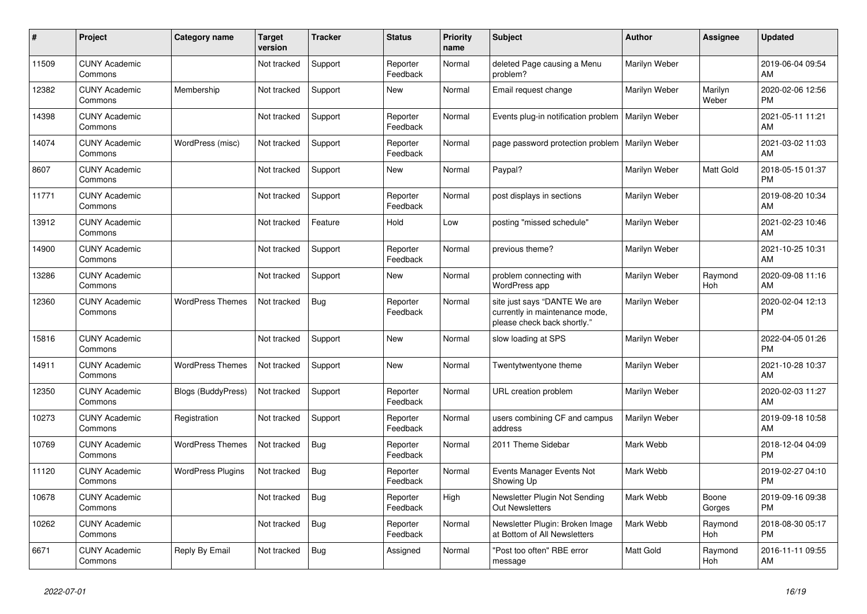| #     | Project                         | <b>Category name</b>     | <b>Target</b><br>version | <b>Tracker</b> | <b>Status</b>        | <b>Priority</b><br>name | <b>Subject</b>                                                                                | <b>Author</b> | <b>Assignee</b>  | <b>Updated</b>                |
|-------|---------------------------------|--------------------------|--------------------------|----------------|----------------------|-------------------------|-----------------------------------------------------------------------------------------------|---------------|------------------|-------------------------------|
| 11509 | <b>CUNY Academic</b><br>Commons |                          | Not tracked              | Support        | Reporter<br>Feedback | Normal                  | deleted Page causing a Menu<br>problem?                                                       | Marilyn Weber |                  | 2019-06-04 09:54<br>AM        |
| 12382 | <b>CUNY Academic</b><br>Commons | Membership               | Not tracked              | Support        | New                  | Normal                  | Email request change                                                                          | Marilyn Weber | Marilyn<br>Weber | 2020-02-06 12:56<br><b>PM</b> |
| 14398 | <b>CUNY Academic</b><br>Commons |                          | Not tracked              | Support        | Reporter<br>Feedback | Normal                  | Events plug-in notification problem                                                           | Marilyn Weber |                  | 2021-05-11 11:21<br>AM        |
| 14074 | <b>CUNY Academic</b><br>Commons | WordPress (misc)         | Not tracked              | Support        | Reporter<br>Feedback | Normal                  | page password protection problem                                                              | Marilyn Weber |                  | 2021-03-02 11:03<br>AM        |
| 8607  | <b>CUNY Academic</b><br>Commons |                          | Not tracked              | Support        | New                  | Normal                  | Paypal?                                                                                       | Marilyn Weber | Matt Gold        | 2018-05-15 01:37<br><b>PM</b> |
| 11771 | <b>CUNY Academic</b><br>Commons |                          | Not tracked              | Support        | Reporter<br>Feedback | Normal                  | post displays in sections                                                                     | Marilyn Weber |                  | 2019-08-20 10:34<br>AM        |
| 13912 | <b>CUNY Academic</b><br>Commons |                          | Not tracked              | Feature        | Hold                 | Low                     | posting "missed schedule"                                                                     | Marilyn Weber |                  | 2021-02-23 10:46<br>AM        |
| 14900 | <b>CUNY Academic</b><br>Commons |                          | Not tracked              | Support        | Reporter<br>Feedback | Normal                  | previous theme?                                                                               | Marilyn Weber |                  | 2021-10-25 10:31<br>AM        |
| 13286 | <b>CUNY Academic</b><br>Commons |                          | Not tracked              | Support        | New                  | Normal                  | problem connecting with<br>WordPress app                                                      | Marilyn Weber | Raymond<br>Hoh   | 2020-09-08 11:16<br>AM        |
| 12360 | <b>CUNY Academic</b><br>Commons | <b>WordPress Themes</b>  | Not tracked              | <b>Bug</b>     | Reporter<br>Feedback | Normal                  | site just says "DANTE We are<br>currently in maintenance mode,<br>please check back shortly." | Marilyn Weber |                  | 2020-02-04 12:13<br><b>PM</b> |
| 15816 | <b>CUNY Academic</b><br>Commons |                          | Not tracked              | Support        | New                  | Normal                  | slow loading at SPS                                                                           | Marilyn Weber |                  | 2022-04-05 01:26<br><b>PM</b> |
| 14911 | <b>CUNY Academic</b><br>Commons | <b>WordPress Themes</b>  | Not tracked              | Support        | <b>New</b>           | Normal                  | Twentytwentyone theme                                                                         | Marilyn Weber |                  | 2021-10-28 10:37<br>AM        |
| 12350 | <b>CUNY Academic</b><br>Commons | Blogs (BuddyPress)       | Not tracked              | Support        | Reporter<br>Feedback | Normal                  | URL creation problem                                                                          | Marilyn Weber |                  | 2020-02-03 11:27<br>AM        |
| 10273 | <b>CUNY Academic</b><br>Commons | Registration             | Not tracked              | Support        | Reporter<br>Feedback | Normal                  | users combining CF and campus<br>address                                                      | Marilyn Weber |                  | 2019-09-18 10:58<br>AM        |
| 10769 | <b>CUNY Academic</b><br>Commons | <b>WordPress Themes</b>  | Not tracked              | Bug            | Reporter<br>Feedback | Normal                  | 2011 Theme Sidebar                                                                            | Mark Webb     |                  | 2018-12-04 04:09<br><b>PM</b> |
| 11120 | <b>CUNY Academic</b><br>Commons | <b>WordPress Plugins</b> | Not tracked              | <b>Bug</b>     | Reporter<br>Feedback | Normal                  | Events Manager Events Not<br>Showing Up                                                       | Mark Webb     |                  | 2019-02-27 04:10<br><b>PM</b> |
| 10678 | <b>CUNY Academic</b><br>Commons |                          | Not tracked              | <b>Bug</b>     | Reporter<br>Feedback | High                    | Newsletter Plugin Not Sending<br><b>Out Newsletters</b>                                       | Mark Webb     | Boone<br>Gorges  | 2019-09-16 09:38<br><b>PM</b> |
| 10262 | <b>CUNY Academic</b><br>Commons |                          | Not tracked              | <b>Bug</b>     | Reporter<br>Feedback | Normal                  | Newsletter Plugin: Broken Image<br>at Bottom of All Newsletters                               | Mark Webb     | Raymond<br>Hoh   | 2018-08-30 05:17<br><b>PM</b> |
| 6671  | <b>CUNY Academic</b><br>Commons | Reply By Email           | Not tracked              | <b>Bug</b>     | Assigned             | Normal                  | "Post too often" RBE error<br>message                                                         | Matt Gold     | Raymond<br>Hoh   | 2016-11-11 09:55<br>AM        |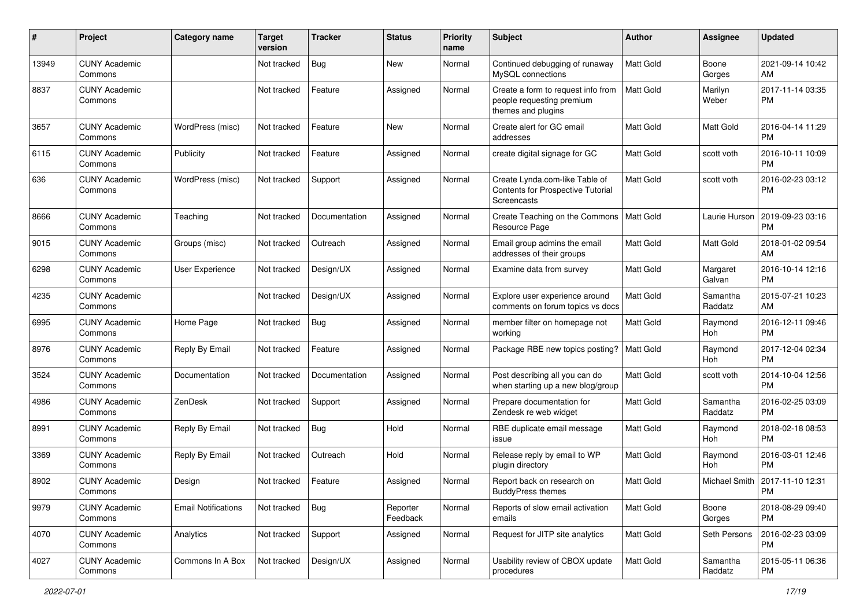| #     | Project                         | <b>Category name</b>       | <b>Target</b><br>version | <b>Tracker</b> | <b>Status</b>        | <b>Priority</b><br>name | <b>Subject</b>                                                                        | Author           | Assignee              | <b>Updated</b>                         |
|-------|---------------------------------|----------------------------|--------------------------|----------------|----------------------|-------------------------|---------------------------------------------------------------------------------------|------------------|-----------------------|----------------------------------------|
| 13949 | <b>CUNY Academic</b><br>Commons |                            | Not tracked              | <b>Bug</b>     | New                  | Normal                  | Continued debugging of runaway<br>MySQL connections                                   | <b>Matt Gold</b> | Boone<br>Gorges       | 2021-09-14 10:42<br>AM                 |
| 8837  | <b>CUNY Academic</b><br>Commons |                            | Not tracked              | Feature        | Assigned             | Normal                  | Create a form to request info from<br>people requesting premium<br>themes and plugins | <b>Matt Gold</b> | Marilyn<br>Weber      | 2017-11-14 03:35<br><b>PM</b>          |
| 3657  | <b>CUNY Academic</b><br>Commons | WordPress (misc)           | Not tracked              | Feature        | New                  | Normal                  | Create alert for GC email<br>addresses                                                | Matt Gold        | <b>Matt Gold</b>      | 2016-04-14 11:29<br><b>PM</b>          |
| 6115  | <b>CUNY Academic</b><br>Commons | Publicity                  | Not tracked              | Feature        | Assigned             | Normal                  | create digital signage for GC                                                         | Matt Gold        | scott voth            | 2016-10-11 10:09<br>PM                 |
| 636   | <b>CUNY Academic</b><br>Commons | WordPress (misc)           | Not tracked              | Support        | Assigned             | Normal                  | Create Lynda.com-like Table of<br>Contents for Prospective Tutorial<br>Screencasts    | Matt Gold        | scott voth            | 2016-02-23 03:12<br>РM                 |
| 8666  | <b>CUNY Academic</b><br>Commons | Teaching                   | Not tracked              | Documentation  | Assigned             | Normal                  | Create Teaching on the Commons<br>Resource Page                                       | Matt Gold        | Laurie Hurson         | 2019-09-23 03:16<br><b>PM</b>          |
| 9015  | <b>CUNY Academic</b><br>Commons | Groups (misc)              | Not tracked              | Outreach       | Assigned             | Normal                  | Email group admins the email<br>addresses of their groups                             | Matt Gold        | Matt Gold             | 2018-01-02 09:54<br>AM                 |
| 6298  | <b>CUNY Academic</b><br>Commons | <b>User Experience</b>     | Not tracked              | Design/UX      | Assigned             | Normal                  | Examine data from survey                                                              | Matt Gold        | Margaret<br>Galvan    | 2016-10-14 12:16<br><b>PM</b>          |
| 4235  | <b>CUNY Academic</b><br>Commons |                            | Not tracked              | Design/UX      | Assigned             | Normal                  | Explore user experience around<br>comments on forum topics vs docs                    | Matt Gold        | Samantha<br>Raddatz   | 2015-07-21 10:23<br>AM                 |
| 6995  | <b>CUNY Academic</b><br>Commons | Home Page                  | Not tracked              | Bug            | Assigned             | Normal                  | member filter on homepage not<br>working                                              | <b>Matt Gold</b> | Raymond<br>Hoh        | 2016-12-11 09:46<br>PM                 |
| 8976  | <b>CUNY Academic</b><br>Commons | Reply By Email             | Not tracked              | Feature        | Assigned             | Normal                  | Package RBE new topics posting?                                                       | Matt Gold        | Raymond<br>Hoh        | 2017-12-04 02:34<br><b>PM</b>          |
| 3524  | <b>CUNY Academic</b><br>Commons | Documentation              | Not tracked              | Documentation  | Assigned             | Normal                  | Post describing all you can do<br>when starting up a new blog/group                   | Matt Gold        | scott voth            | 2014-10-04 12:56<br><b>PM</b>          |
| 4986  | <b>CUNY Academic</b><br>Commons | ZenDesk                    | Not tracked              | Support        | Assigned             | Normal                  | Prepare documentation for<br>Zendesk re web widget                                    | Matt Gold        | Samantha<br>Raddatz   | 2016-02-25 03:09<br><b>PM</b>          |
| 8991  | <b>CUNY Academic</b><br>Commons | Reply By Email             | Not tracked              | Bug            | Hold                 | Normal                  | RBE duplicate email message<br>issue                                                  | <b>Matt Gold</b> | Raymond<br><b>Hoh</b> | 2018-02-18 08:53<br><b>PM</b>          |
| 3369  | <b>CUNY Academic</b><br>Commons | Reply By Email             | Not tracked              | Outreach       | Hold                 | Normal                  | Release reply by email to WP<br>plugin directory                                      | Matt Gold        | Raymond<br>Hoh        | 2016-03-01 12:46<br><b>PM</b>          |
| 8902  | <b>CUNY Academic</b><br>Commons | Design                     | Not tracked              | Feature        | Assigned             | Normal                  | Report back on research on<br><b>BuddyPress themes</b>                                | Matt Gold        |                       | Michael Smith   2017-11-10 12:31<br>PM |
| 9979  | <b>CUNY Academic</b><br>Commons | <b>Email Notifications</b> | Not tracked              | <b>Bug</b>     | Reporter<br>Feedback | Normal                  | Reports of slow email activation<br>emails                                            | Matt Gold        | Boone<br>Gorges       | 2018-08-29 09:40<br>PM                 |
| 4070  | <b>CUNY Academic</b><br>Commons | Analytics                  | Not tracked              | Support        | Assigned             | Normal                  | Request for JITP site analytics                                                       | Matt Gold        | Seth Persons          | 2016-02-23 03:09<br><b>PM</b>          |
| 4027  | <b>CUNY Academic</b><br>Commons | Commons In A Box           | Not tracked              | Design/UX      | Assigned             | Normal                  | Usability review of CBOX update<br>procedures                                         | Matt Gold        | Samantha<br>Raddatz   | 2015-05-11 06:36<br>PM                 |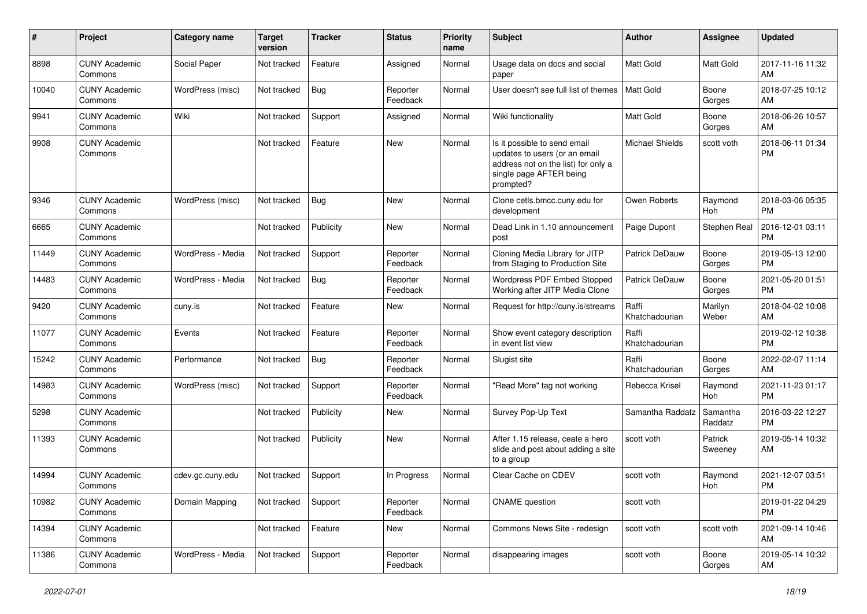| #     | Project                         | <b>Category name</b> | <b>Target</b><br>version | <b>Tracker</b> | <b>Status</b>        | <b>Priority</b><br>name | Subject                                                                                                                                      | Author                  | <b>Assignee</b>       | <b>Updated</b>                |
|-------|---------------------------------|----------------------|--------------------------|----------------|----------------------|-------------------------|----------------------------------------------------------------------------------------------------------------------------------------------|-------------------------|-----------------------|-------------------------------|
| 8898  | <b>CUNY Academic</b><br>Commons | Social Paper         | Not tracked              | Feature        | Assigned             | Normal                  | Usage data on docs and social<br>paper                                                                                                       | <b>Matt Gold</b>        | Matt Gold             | 2017-11-16 11:32<br>AM        |
| 10040 | <b>CUNY Academic</b><br>Commons | WordPress (misc)     | Not tracked              | Bug            | Reporter<br>Feedback | Normal                  | User doesn't see full list of themes                                                                                                         | Matt Gold               | Boone<br>Gorges       | 2018-07-25 10:12<br>AM        |
| 9941  | <b>CUNY Academic</b><br>Commons | Wiki                 | Not tracked              | Support        | Assigned             | Normal                  | Wiki functionality                                                                                                                           | Matt Gold               | Boone<br>Gorges       | 2018-06-26 10:57<br>AM        |
| 9908  | <b>CUNY Academic</b><br>Commons |                      | Not tracked              | Feature        | <b>New</b>           | Normal                  | Is it possible to send email<br>updates to users (or an email<br>address not on the list) for only a<br>single page AFTER being<br>prompted? | <b>Michael Shields</b>  | scott voth            | 2018-06-11 01:34<br><b>PM</b> |
| 9346  | <b>CUNY Academic</b><br>Commons | WordPress (misc)     | Not tracked              | Bug            | New                  | Normal                  | Clone cetls.bmcc.cuny.edu for<br>development                                                                                                 | Owen Roberts            | Raymond<br><b>Hoh</b> | 2018-03-06 05:35<br><b>PM</b> |
| 6665  | <b>CUNY Academic</b><br>Commons |                      | Not tracked              | Publicity      | New                  | Normal                  | Dead Link in 1.10 announcement<br>post                                                                                                       | Paige Dupont            | Stephen Real          | 2016-12-01 03:11<br><b>PM</b> |
| 11449 | <b>CUNY Academic</b><br>Commons | WordPress - Media    | Not tracked              | Support        | Reporter<br>Feedback | Normal                  | Cloning Media Library for JITP<br>from Staging to Production Site                                                                            | Patrick DeDauw          | Boone<br>Gorges       | 2019-05-13 12:00<br><b>PM</b> |
| 14483 | <b>CUNY Academic</b><br>Commons | WordPress - Media    | Not tracked              | <b>Bug</b>     | Reporter<br>Feedback | Normal                  | Wordpress PDF Embed Stopped<br>Working after JITP Media Clone                                                                                | <b>Patrick DeDauw</b>   | Boone<br>Gorges       | 2021-05-20 01:51<br><b>PM</b> |
| 9420  | <b>CUNY Academic</b><br>Commons | cuny.is              | Not tracked              | Feature        | New                  | Normal                  | Request for http://cuny.is/streams                                                                                                           | Raffi<br>Khatchadourian | Marilyn<br>Weber      | 2018-04-02 10:08<br>AM        |
| 11077 | <b>CUNY Academic</b><br>Commons | Events               | Not tracked              | Feature        | Reporter<br>Feedback | Normal                  | Show event category description<br>in event list view                                                                                        | Raffi<br>Khatchadourian |                       | 2019-02-12 10:38<br>PM        |
| 15242 | <b>CUNY Academic</b><br>Commons | Performance          | Not tracked              | Bug            | Reporter<br>Feedback | Normal                  | Slugist site                                                                                                                                 | Raffi<br>Khatchadourian | Boone<br>Gorges       | 2022-02-07 11:14<br>AM        |
| 14983 | <b>CUNY Academic</b><br>Commons | WordPress (misc)     | Not tracked              | Support        | Reporter<br>Feedback | Normal                  | 'Read More" tag not working                                                                                                                  | Rebecca Krisel          | Raymond<br><b>Hoh</b> | 2021-11-23 01:17<br><b>PM</b> |
| 5298  | <b>CUNY Academic</b><br>Commons |                      | Not tracked              | Publicity      | New                  | Normal                  | Survey Pop-Up Text                                                                                                                           | Samantha Raddatz        | Samantha<br>Raddatz   | 2016-03-22 12:27<br>PM        |
| 11393 | <b>CUNY Academic</b><br>Commons |                      | Not tracked              | Publicity      | <b>New</b>           | Normal                  | After 1.15 release, ceate a hero<br>slide and post about adding a site<br>to a group                                                         | scott voth              | Patrick<br>Sweeney    | 2019-05-14 10:32<br>AM        |
| 14994 | <b>CUNY Academic</b><br>Commons | cdev.gc.cuny.edu     | Not tracked              | Support        | In Progress          | Normal                  | Clear Cache on CDEV                                                                                                                          | scott voth              | Raymond<br>Hoh        | 2021-12-07 03:51<br><b>PM</b> |
| 10982 | <b>CUNY Academic</b><br>Commons | Domain Mapping       | Not tracked              | Support        | Reporter<br>Feedback | Normal                  | <b>CNAME</b> question                                                                                                                        | scott voth              |                       | 2019-01-22 04:29<br><b>PM</b> |
| 14394 | <b>CUNY Academic</b><br>Commons |                      | Not tracked              | Feature        | New                  | Normal                  | Commons News Site - redesign                                                                                                                 | scott voth              | scott voth            | 2021-09-14 10:46<br>AM        |
| 11386 | <b>CUNY Academic</b><br>Commons | WordPress - Media    | Not tracked              | Support        | Reporter<br>Feedback | Normal                  | disappearing images                                                                                                                          | scott voth              | Boone<br>Gorges       | 2019-05-14 10:32<br>AM        |